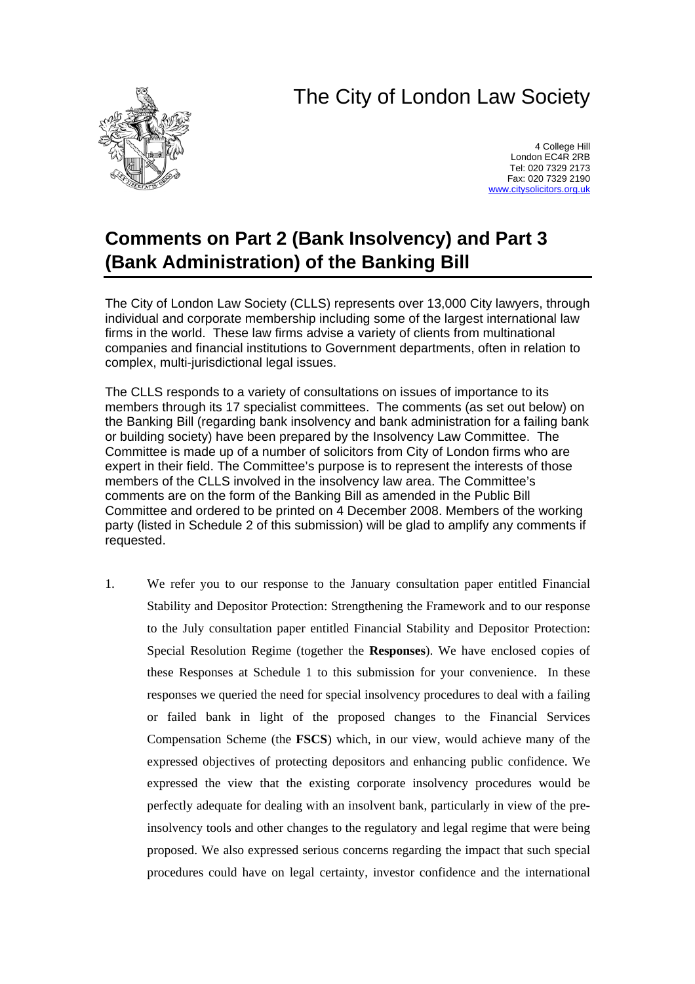# The City of London Law Society



4 College Hill London EC4R 2RB Tel: 020 7329 2173 Fax: 020 7329 2190 [www.citysolicitors.org.uk](http://www.citysolicitors.org.uk/)

# **Comments on Part 2 (Bank Insolvency) and Part 3 (Bank Administration) of the Banking Bill**

The City of London Law Society (CLLS) represents over 13,000 City lawyers, through individual and corporate membership including some of the largest international law firms in the world. These law firms advise a variety of clients from multinational companies and financial institutions to Government departments, often in relation to complex, multi-jurisdictional legal issues.

The CLLS responds to a variety of consultations on issues of importance to its members through its 17 specialist committees. The comments (as set out below) on the Banking Bill (regarding bank insolvency and bank administration for a failing bank or building society) have been prepared by the Insolvency Law Committee. The Committee is made up of a number of solicitors from City of London firms who are expert in their field. The Committee's purpose is to represent the interests of those members of the CLLS involved in the insolvency law area. The Committee's comments are on the form of the Banking Bill as amended in the Public Bill Committee and ordered to be printed on 4 December 2008. Members of the working party (listed in Schedule 2 of this submission) will be glad to amplify any comments if requested.

1. We refer you to our response to the January consultation paper entitled Financial Stability and Depositor Protection: Strengthening the Framework and to our response to the July consultation paper entitled Financial Stability and Depositor Protection: Special Resolution Regime (together the **Responses**). We have enclosed copies of these Responses at Schedule 1 to this submission for your convenience. In these responses we queried the need for special insolvency procedures to deal with a failing or failed bank in light of the proposed changes to the Financial Services Compensation Scheme (the **FSCS**) which, in our view, would achieve many of the expressed objectives of protecting depositors and enhancing public confidence. We expressed the view that the existing corporate insolvency procedures would be perfectly adequate for dealing with an insolvent bank, particularly in view of the preinsolvency tools and other changes to the regulatory and legal regime that were being proposed. We also expressed serious concerns regarding the impact that such special procedures could have on legal certainty, investor confidence and the international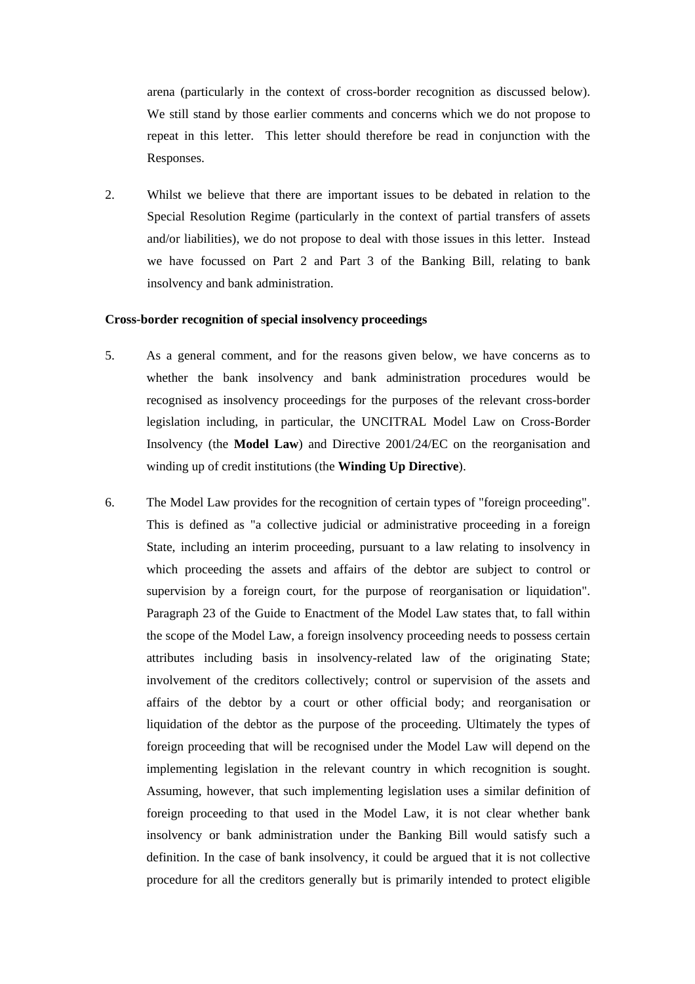arena (particularly in the context of cross-border recognition as discussed below). We still stand by those earlier comments and concerns which we do not propose to repeat in this letter. This letter should therefore be read in conjunction with the Responses.

2. Whilst we believe that there are important issues to be debated in relation to the Special Resolution Regime (particularly in the context of partial transfers of assets and/or liabilities), we do not propose to deal with those issues in this letter. Instead we have focussed on Part 2 and Part 3 of the Banking Bill, relating to bank insolvency and bank administration.

### **Cross-border recognition of special insolvency proceedings**

- 5. As a general comment, and for the reasons given below, we have concerns as to whether the bank insolvency and bank administration procedures would be recognised as insolvency proceedings for the purposes of the relevant cross-border legislation including, in particular, the UNCITRAL Model Law on Cross-Border Insolvency (the **Model Law**) and Directive 2001/24/EC on the reorganisation and winding up of credit institutions (the **Winding Up Directive**).
- 6. The Model Law provides for the recognition of certain types of "foreign proceeding". This is defined as "a collective judicial or administrative proceeding in a foreign State, including an interim proceeding, pursuant to a law relating to insolvency in which proceeding the assets and affairs of the debtor are subject to control or supervision by a foreign court, for the purpose of reorganisation or liquidation". Paragraph 23 of the Guide to Enactment of the Model Law states that, to fall within the scope of the Model Law, a foreign insolvency proceeding needs to possess certain attributes including basis in insolvency-related law of the originating State; involvement of the creditors collectively; control or supervision of the assets and affairs of the debtor by a court or other official body; and reorganisation or liquidation of the debtor as the purpose of the proceeding. Ultimately the types of foreign proceeding that will be recognised under the Model Law will depend on the implementing legislation in the relevant country in which recognition is sought. Assuming, however, that such implementing legislation uses a similar definition of foreign proceeding to that used in the Model Law, it is not clear whether bank insolvency or bank administration under the Banking Bill would satisfy such a definition. In the case of bank insolvency, it could be argued that it is not collective procedure for all the creditors generally but is primarily intended to protect eligible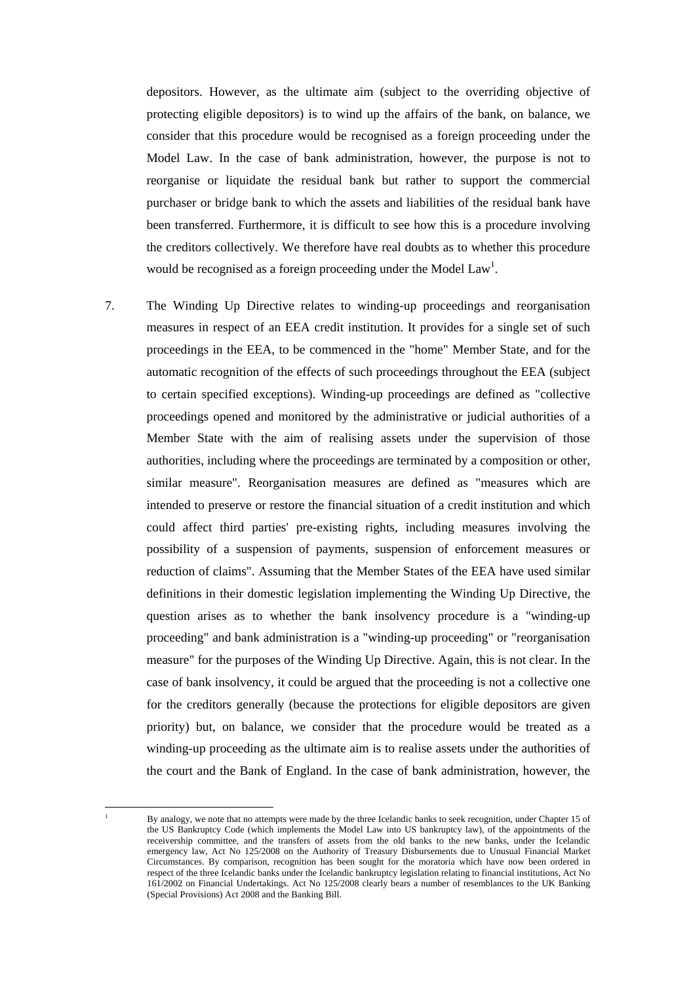depositors. However, as the ultimate aim (subject to the overriding objective of protecting eligible depositors) is to wind up the affairs of the bank, on balance, we consider that this procedure would be recognised as a foreign proceeding under the Model Law. In the case of bank administration, however, the purpose is not to reorganise or liquidate the residual bank but rather to support the commercial purchaser or bridge bank to which the assets and liabilities of the residual bank have been transferred. Furthermore, it is difficult to see how this is a procedure involving the creditors collectively. We therefore have real doubts as to whether this procedure [w](#page-2-0)ould be recognised as a foreign proceeding under the Model Law<sup>1</sup>.

7. The Winding Up Directive relates to winding-up proceedings and reorganisation measures in respect of an EEA credit institution. It provides for a single set of such proceedings in the EEA, to be commenced in the "home" Member State, and for the automatic recognition of the effects of such proceedings throughout the EEA (subject to certain specified exceptions). Winding-up proceedings are defined as "collective proceedings opened and monitored by the administrative or judicial authorities of a Member State with the aim of realising assets under the supervision of those authorities, including where the proceedings are terminated by a composition or other, similar measure". Reorganisation measures are defined as "measures which are intended to preserve or restore the financial situation of a credit institution and which could affect third parties' pre-existing rights, including measures involving the possibility of a suspension of payments, suspension of enforcement measures or reduction of claims". Assuming that the Member States of the EEA have used similar definitions in their domestic legislation implementing the Winding Up Directive, the question arises as to whether the bank insolvency procedure is a "winding-up proceeding" and bank administration is a "winding-up proceeding" or "reorganisation measure" for the purposes of the Winding Up Directive. Again, this is not clear. In the case of bank insolvency, it could be argued that the proceeding is not a collective one for the creditors generally (because the protections for eligible depositors are given priority) but, on balance, we consider that the procedure would be treated as a winding-up proceeding as the ultimate aim is to realise assets under the authorities of the court and the Bank of England. In the case of bank administration, however, the

 $\overline{a}$ 1

<span id="page-2-0"></span>By analogy, we note that no attempts were made by the three Icelandic banks to seek recognition, under Chapter 15 of the US Bankruptcy Code (which implements the Model Law into US bankruptcy law), of the appointments of the receivership committee, and the transfers of assets from the old banks to the new banks, under the Icelandic emergency law, Act No 125/2008 on the Authority of Treasury Disbursements due to Unusual Financial Market Circumstances. By comparison, recognition has been sought for the moratoria which have now been ordered in respect of the three Icelandic banks under the Icelandic bankruptcy legislation relating to financial institutions, Act No 161/2002 on Financial Undertakings. Act No 125/2008 clearly bears a number of resemblances to the UK Banking (Special Provisions) Act 2008 and the Banking Bill.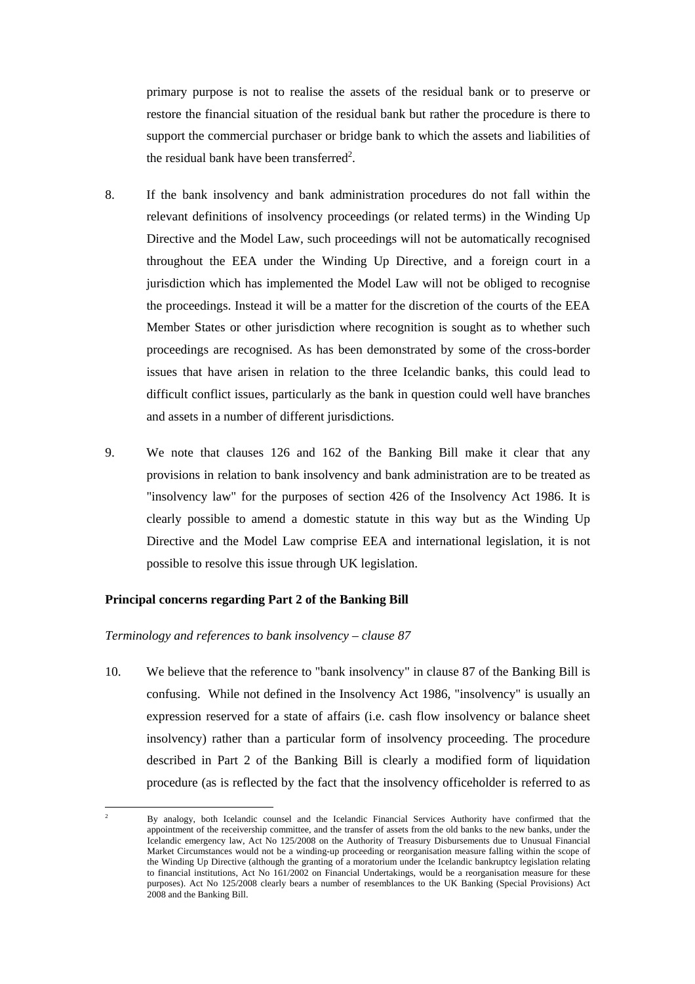primary purpose is not to realise the assets of the residual bank or to preserve or restore the financial situation of the residual bank but rather the procedure is there to support the commercial purchaser or bridge bank to which the assets and liabilities of the resi[d](#page-3-0)ual bank have been transferred<sup>2</sup>.

- 8. If the bank insolvency and bank administration procedures do not fall within the relevant definitions of insolvency proceedings (or related terms) in the Winding Up Directive and the Model Law, such proceedings will not be automatically recognised throughout the EEA under the Winding Up Directive, and a foreign court in a jurisdiction which has implemented the Model Law will not be obliged to recognise the proceedings. Instead it will be a matter for the discretion of the courts of the EEA Member States or other jurisdiction where recognition is sought as to whether such proceedings are recognised. As has been demonstrated by some of the cross-border issues that have arisen in relation to the three Icelandic banks, this could lead to difficult conflict issues, particularly as the bank in question could well have branches and assets in a number of different jurisdictions.
- 9. We note that clauses 126 and 162 of the Banking Bill make it clear that any provisions in relation to bank insolvency and bank administration are to be treated as "insolvency law" for the purposes of section 426 of the Insolvency Act 1986. It is clearly possible to amend a domestic statute in this way but as the Winding Up Directive and the Model Law comprise EEA and international legislation, it is not possible to resolve this issue through UK legislation.

### **Principal concerns regarding Part 2 of the Banking Bill**

#### *Terminology and references to bank insolvency – clause 87*

10. We believe that the reference to "bank insolvency" in clause 87 of the Banking Bill is confusing. While not defined in the Insolvency Act 1986, "insolvency" is usually an expression reserved for a state of affairs (i.e. cash flow insolvency or balance sheet insolvency) rather than a particular form of insolvency proceeding. The procedure described in Part 2 of the Banking Bill is clearly a modified form of liquidation procedure (as is reflected by the fact that the insolvency officeholder is referred to as

<span id="page-3-0"></span> $\frac{1}{2}$  By analogy, both Icelandic counsel and the Icelandic Financial Services Authority have confirmed that the appointment of the receivership committee, and the transfer of assets from the old banks to the new banks, under the Icelandic emergency law, Act No 125/2008 on the Authority of Treasury Disbursements due to Unusual Financial Market Circumstances would not be a winding-up proceeding or reorganisation measure falling within the scope of the Winding Up Directive (although the granting of a moratorium under the Icelandic bankruptcy legislation relating to financial institutions, Act No 161/2002 on Financial Undertakings, would be a reorganisation measure for these purposes). Act No 125/2008 clearly bears a number of resemblances to the UK Banking (Special Provisions) Act 2008 and the Banking Bill.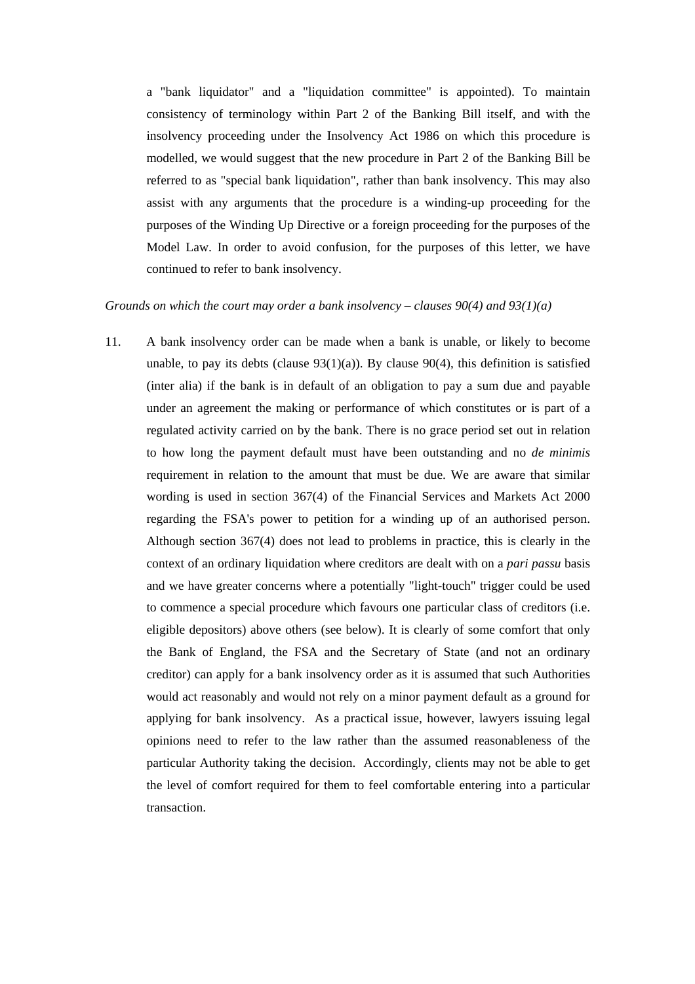a "bank liquidator" and a "liquidation committee" is appointed). To maintain consistency of terminology within Part 2 of the Banking Bill itself, and with the insolvency proceeding under the Insolvency Act 1986 on which this procedure is modelled, we would suggest that the new procedure in Part 2 of the Banking Bill be referred to as "special bank liquidation", rather than bank insolvency. This may also assist with any arguments that the procedure is a winding-up proceeding for the purposes of the Winding Up Directive or a foreign proceeding for the purposes of the Model Law. In order to avoid confusion, for the purposes of this letter, we have continued to refer to bank insolvency.

### *Grounds on which the court may order a bank insolvency – clauses 90(4) and 93(1)(a)*

11. A bank insolvency order can be made when a bank is unable, or likely to become unable, to pay its debts (clause  $93(1)(a)$ ). By clause  $90(4)$ , this definition is satisfied (inter alia) if the bank is in default of an obligation to pay a sum due and payable under an agreement the making or performance of which constitutes or is part of a regulated activity carried on by the bank. There is no grace period set out in relation to how long the payment default must have been outstanding and no *de minimis* requirement in relation to the amount that must be due. We are aware that similar wording is used in section 367(4) of the Financial Services and Markets Act 2000 regarding the FSA's power to petition for a winding up of an authorised person. Although section 367(4) does not lead to problems in practice, this is clearly in the context of an ordinary liquidation where creditors are dealt with on a *pari passu* basis and we have greater concerns where a potentially "light-touch" trigger could be used to commence a special procedure which favours one particular class of creditors (i.e. eligible depositors) above others (see below). It is clearly of some comfort that only the Bank of England, the FSA and the Secretary of State (and not an ordinary creditor) can apply for a bank insolvency order as it is assumed that such Authorities would act reasonably and would not rely on a minor payment default as a ground for applying for bank insolvency. As a practical issue, however, lawyers issuing legal opinions need to refer to the law rather than the assumed reasonableness of the particular Authority taking the decision. Accordingly, clients may not be able to get the level of comfort required for them to feel comfortable entering into a particular transaction.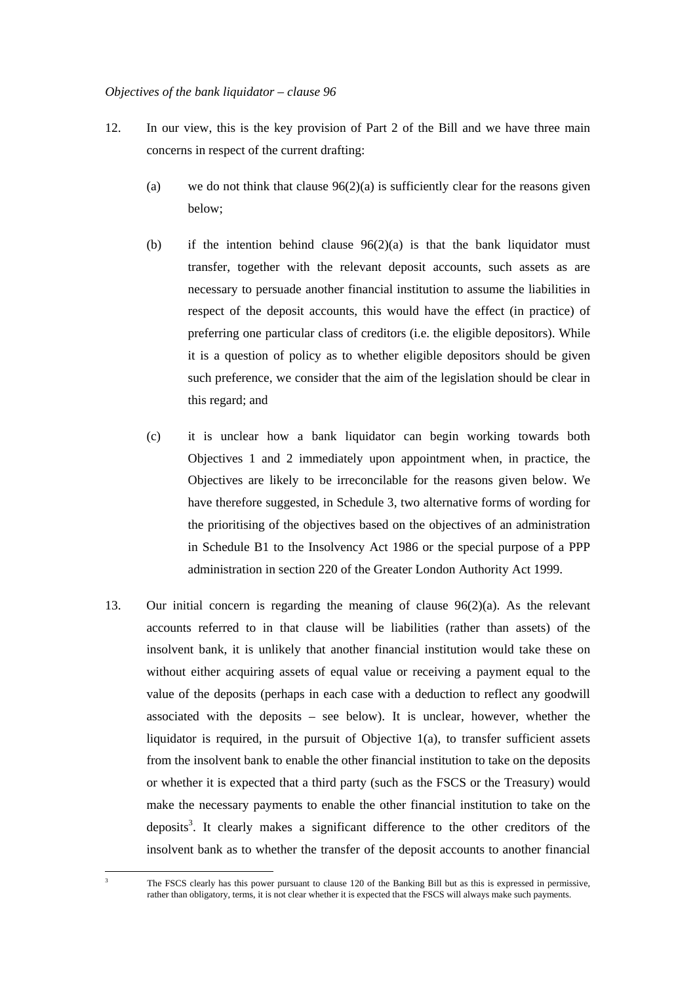### *Objectives of the bank liquidator – clause 96*

- 12. In our view, this is the key provision of Part 2 of the Bill and we have three main concerns in respect of the current drafting:
	- (a) we do not think that clause  $96(2)(a)$  is sufficiently clear for the reasons given below;
	- (b) if the intention behind clause  $96(2)(a)$  is that the bank liquidator must transfer, together with the relevant deposit accounts, such assets as are necessary to persuade another financial institution to assume the liabilities in respect of the deposit accounts, this would have the effect (in practice) of preferring one particular class of creditors (i.e. the eligible depositors). While it is a question of policy as to whether eligible depositors should be given such preference, we consider that the aim of the legislation should be clear in this regard; and
	- (c) it is unclear how a bank liquidator can begin working towards both Objectives 1 and 2 immediately upon appointment when, in practice, the Objectives are likely to be irreconcilable for the reasons given below. We have therefore suggested, in Schedule 3, two alternative forms of wording for the prioritising of the objectives based on the objectives of an administration in Schedule B1 to the Insolvency Act 1986 or the special purpose of a PPP administration in section 220 of the Greater London Authority Act 1999.
- 13. Our initial concern is regarding the meaning of clause 96(2)(a). As the relevant accounts referred to in that clause will be liabilities (rather than assets) of the insolvent bank, it is unlikely that another financial institution would take these on without either acquiring assets of equal value or receiving a payment equal to the value of the deposits (perhaps in each case with a deduction to reflect any goodwill associated with the deposits – see below). It is unclear, however, whether the liquidator is required, in the pursuit of Objective 1(a), to transfer sufficient assets from the insolvent bank to enable the other financial institution to take on the deposits or whether it is expected that a third party (such as the FSCS or the Treasury) would make the necessary payments to enable the other financial institution to take on the deposits<sup>3</sup>. It clearly makes a significant difference to the other creditors of the insolve[nt](#page-5-0) bank as to whether the transfer of the deposit accounts to another financial

<span id="page-5-0"></span> $\overline{a}$ 3

The FSCS clearly has this power pursuant to clause 120 of the Banking Bill but as this is expressed in permissive, rather than obligatory, terms, it is not clear whether it is expected that the FSCS will always make such payments.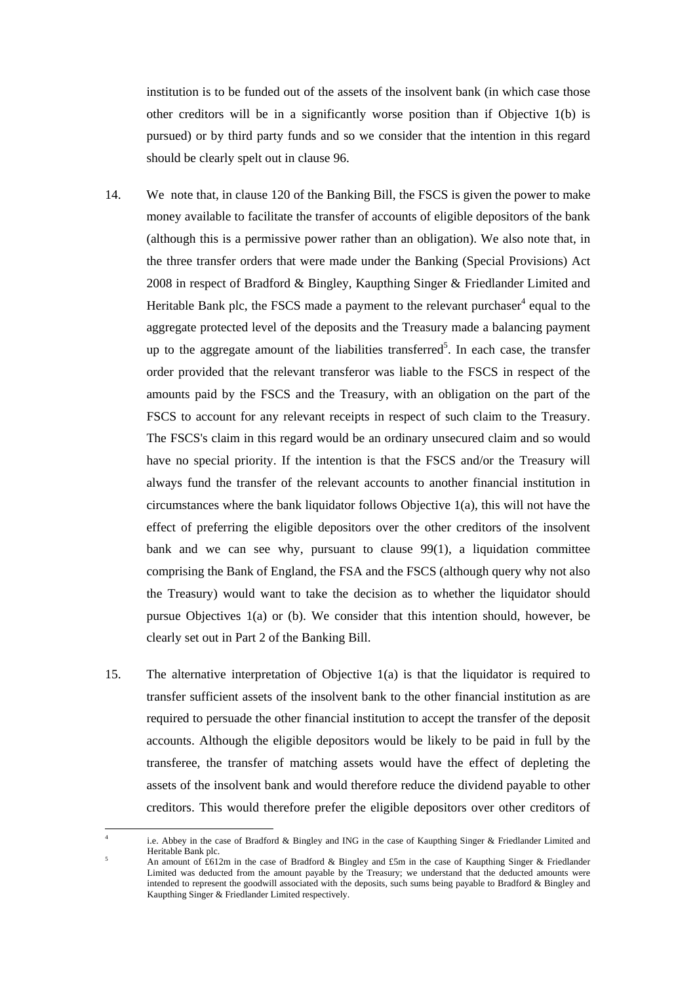institution is to be funded out of the assets of the insolvent bank (in which case those other creditors will be in a significantly worse position than if Objective 1(b) is pursued) or by third party funds and so we consider that the intention in this regard should be clearly spelt out in clause 96.

- 14. We note that, in clause 120 of the Banking Bill, the FSCS is given the power to make money available to facilitate the transfer of accounts of eligible depositors of the bank (although this is a permissive power rather than an obligation). We also note that, in the three transfer orders that were made under the Banking (Special Provisions) Act 2008 in respect of Bradford & Bingley, Kaupthing Singer & Friedlander Limited and Heritable Bank plc, the FSCS made a payment to the relevant purchaser $4$  equal to the aggregate protected level of the deposits and the Treasury made a balan[ci](#page-6-0)ng payment up to the aggregate amount of the liabilities transferred<sup>5</sup>. In each case, the transfer order provided that the relevant transferor was liable to [t](#page-6-1)he FSCS in respect of the amounts paid by the FSCS and the Treasury, with an obligation on the part of the FSCS to account for any relevant receipts in respect of such claim to the Treasury. The FSCS's claim in this regard would be an ordinary unsecured claim and so would have no special priority. If the intention is that the FSCS and/or the Treasury will always fund the transfer of the relevant accounts to another financial institution in circumstances where the bank liquidator follows Objective 1(a), this will not have the effect of preferring the eligible depositors over the other creditors of the insolvent bank and we can see why, pursuant to clause  $99(1)$ , a liquidation committee comprising the Bank of England, the FSA and the FSCS (although query why not also the Treasury) would want to take the decision as to whether the liquidator should pursue Objectives 1(a) or (b). We consider that this intention should, however, be clearly set out in Part 2 of the Banking Bill.
- 15. The alternative interpretation of Objective 1(a) is that the liquidator is required to transfer sufficient assets of the insolvent bank to the other financial institution as are required to persuade the other financial institution to accept the transfer of the deposit accounts. Although the eligible depositors would be likely to be paid in full by the transferee, the transfer of matching assets would have the effect of depleting the assets of the insolvent bank and would therefore reduce the dividend payable to other creditors. This would therefore prefer the eligible depositors over other creditors of

 $\overline{a}$ 

<span id="page-6-0"></span><sup>4</sup> i.e. Abbey in the case of Bradford & Bingley and ING in the case of Kaupthing Singer & Friedlander Limited and Heritable Bank plc.

<span id="page-6-1"></span>An amount of £612m in the case of Bradford & Bingley and £5m in the case of Kaupthing Singer & Friedlander Limited was deducted from the amount payable by the Treasury; we understand that the deducted amounts were intended to represent the goodwill associated with the deposits, such sums being payable to Bradford & Bingley and Kaupthing Singer & Friedlander Limited respectively.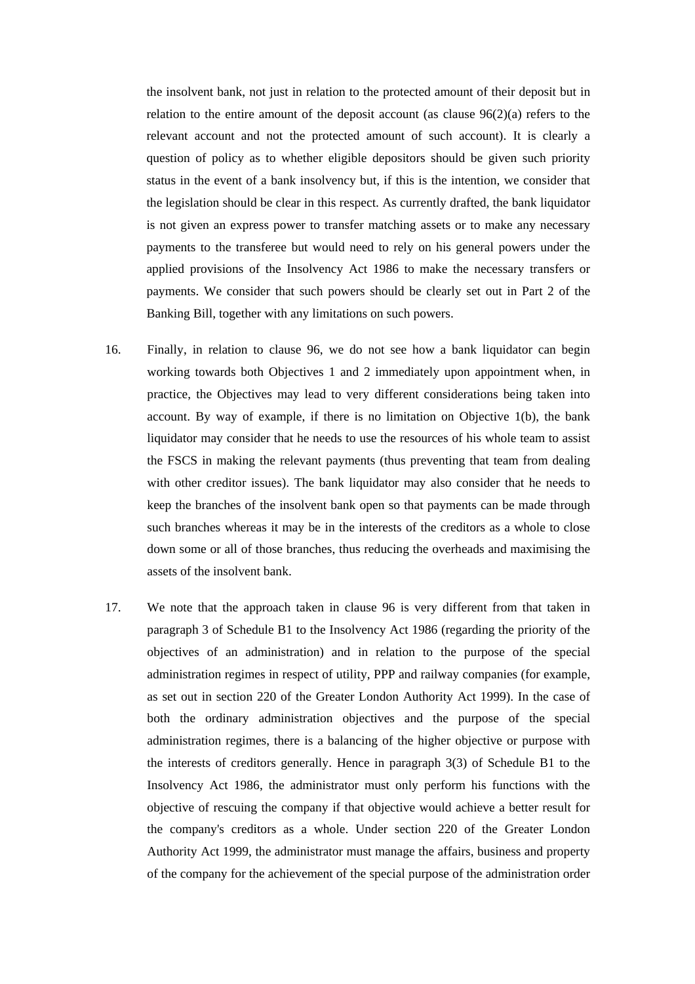the insolvent bank, not just in relation to the protected amount of their deposit but in relation to the entire amount of the deposit account (as clause 96(2)(a) refers to the relevant account and not the protected amount of such account). It is clearly a question of policy as to whether eligible depositors should be given such priority status in the event of a bank insolvency but, if this is the intention, we consider that the legislation should be clear in this respect. As currently drafted, the bank liquidator is not given an express power to transfer matching assets or to make any necessary payments to the transferee but would need to rely on his general powers under the applied provisions of the Insolvency Act 1986 to make the necessary transfers or payments. We consider that such powers should be clearly set out in Part 2 of the Banking Bill, together with any limitations on such powers.

- 16. Finally, in relation to clause 96, we do not see how a bank liquidator can begin working towards both Objectives 1 and 2 immediately upon appointment when, in practice, the Objectives may lead to very different considerations being taken into account. By way of example, if there is no limitation on Objective 1(b), the bank liquidator may consider that he needs to use the resources of his whole team to assist the FSCS in making the relevant payments (thus preventing that team from dealing with other creditor issues). The bank liquidator may also consider that he needs to keep the branches of the insolvent bank open so that payments can be made through such branches whereas it may be in the interests of the creditors as a whole to close down some or all of those branches, thus reducing the overheads and maximising the assets of the insolvent bank.
- 17. We note that the approach taken in clause 96 is very different from that taken in paragraph 3 of Schedule B1 to the Insolvency Act 1986 (regarding the priority of the objectives of an administration) and in relation to the purpose of the special administration regimes in respect of utility, PPP and railway companies (for example, as set out in section 220 of the Greater London Authority Act 1999). In the case of both the ordinary administration objectives and the purpose of the special administration regimes, there is a balancing of the higher objective or purpose with the interests of creditors generally. Hence in paragraph 3(3) of Schedule B1 to the Insolvency Act 1986, the administrator must only perform his functions with the objective of rescuing the company if that objective would achieve a better result for the company's creditors as a whole. Under section 220 of the Greater London Authority Act 1999, the administrator must manage the affairs, business and property of the company for the achievement of the special purpose of the administration order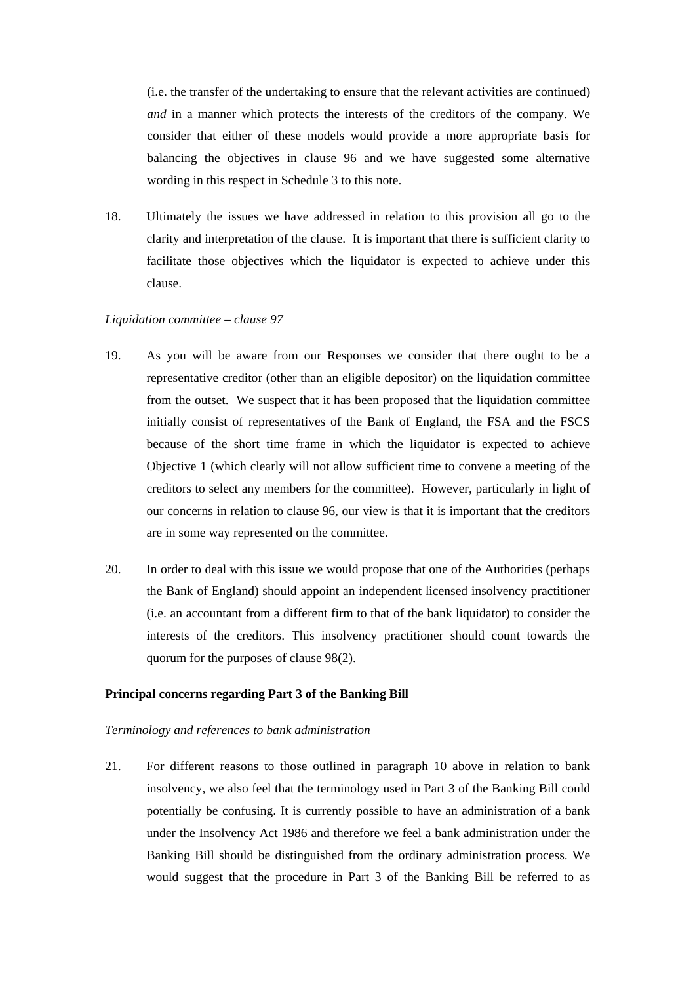(i.e. the transfer of the undertaking to ensure that the relevant activities are continued) *and* in a manner which protects the interests of the creditors of the company. We consider that either of these models would provide a more appropriate basis for balancing the objectives in clause 96 and we have suggested some alternative wording in this respect in Schedule 3 to this note.

18. Ultimately the issues we have addressed in relation to this provision all go to the clarity and interpretation of the clause. It is important that there is sufficient clarity to facilitate those objectives which the liquidator is expected to achieve under this clause.

### *Liquidation committee – clause 97*

- 19. As you will be aware from our Responses we consider that there ought to be a representative creditor (other than an eligible depositor) on the liquidation committee from the outset. We suspect that it has been proposed that the liquidation committee initially consist of representatives of the Bank of England, the FSA and the FSCS because of the short time frame in which the liquidator is expected to achieve Objective 1 (which clearly will not allow sufficient time to convene a meeting of the creditors to select any members for the committee). However, particularly in light of our concerns in relation to clause 96, our view is that it is important that the creditors are in some way represented on the committee.
- 20. In order to deal with this issue we would propose that one of the Authorities (perhaps the Bank of England) should appoint an independent licensed insolvency practitioner (i.e. an accountant from a different firm to that of the bank liquidator) to consider the interests of the creditors. This insolvency practitioner should count towards the quorum for the purposes of clause 98(2).

### **Principal concerns regarding Part 3 of the Banking Bill**

#### *Terminology and references to bank administration*

21. For different reasons to those outlined in paragraph 10 above in relation to bank insolvency, we also feel that the terminology used in Part 3 of the Banking Bill could potentially be confusing. It is currently possible to have an administration of a bank under the Insolvency Act 1986 and therefore we feel a bank administration under the Banking Bill should be distinguished from the ordinary administration process. We would suggest that the procedure in Part 3 of the Banking Bill be referred to as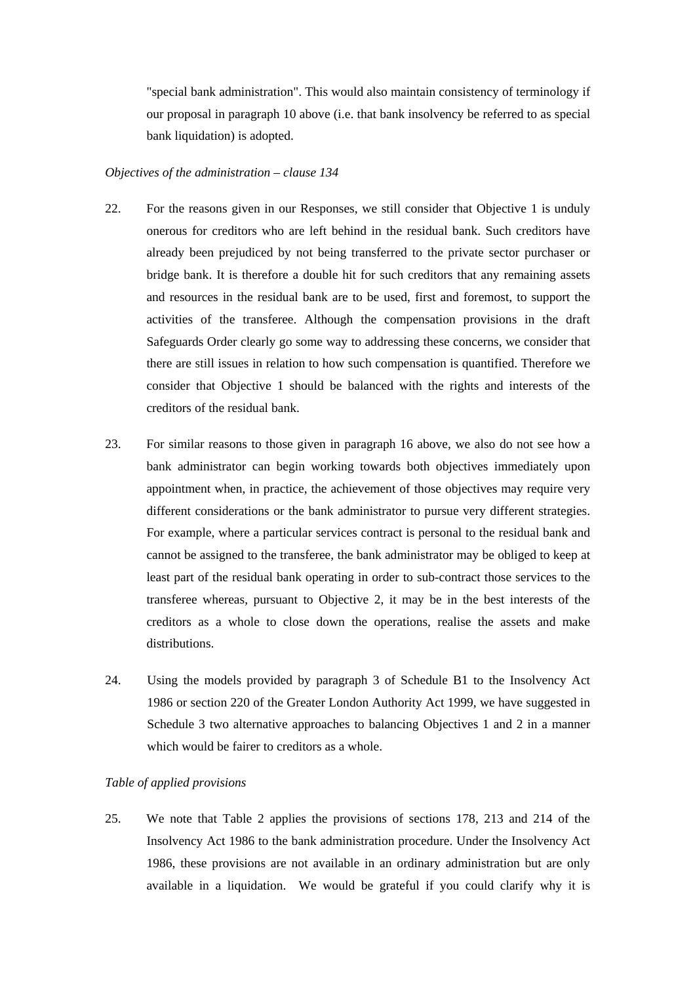"special bank administration". This would also maintain consistency of terminology if our proposal in paragraph 10 above (i.e. that bank insolvency be referred to as special bank liquidation) is adopted.

### *Objectives of the administration – clause 134*

- 22. For the reasons given in our Responses, we still consider that Objective 1 is unduly onerous for creditors who are left behind in the residual bank. Such creditors have already been prejudiced by not being transferred to the private sector purchaser or bridge bank. It is therefore a double hit for such creditors that any remaining assets and resources in the residual bank are to be used, first and foremost, to support the activities of the transferee. Although the compensation provisions in the draft Safeguards Order clearly go some way to addressing these concerns, we consider that there are still issues in relation to how such compensation is quantified. Therefore we consider that Objective 1 should be balanced with the rights and interests of the creditors of the residual bank.
- 23. For similar reasons to those given in paragraph 16 above, we also do not see how a bank administrator can begin working towards both objectives immediately upon appointment when, in practice, the achievement of those objectives may require very different considerations or the bank administrator to pursue very different strategies. For example, where a particular services contract is personal to the residual bank and cannot be assigned to the transferee, the bank administrator may be obliged to keep at least part of the residual bank operating in order to sub-contract those services to the transferee whereas, pursuant to Objective 2, it may be in the best interests of the creditors as a whole to close down the operations, realise the assets and make distributions.
- 24. Using the models provided by paragraph 3 of Schedule B1 to the Insolvency Act 1986 or section 220 of the Greater London Authority Act 1999, we have suggested in Schedule 3 two alternative approaches to balancing Objectives 1 and 2 in a manner which would be fairer to creditors as a whole.

### *Table of applied provisions*

25. We note that Table 2 applies the provisions of sections 178, 213 and 214 of the Insolvency Act 1986 to the bank administration procedure. Under the Insolvency Act 1986, these provisions are not available in an ordinary administration but are only available in a liquidation. We would be grateful if you could clarify why it is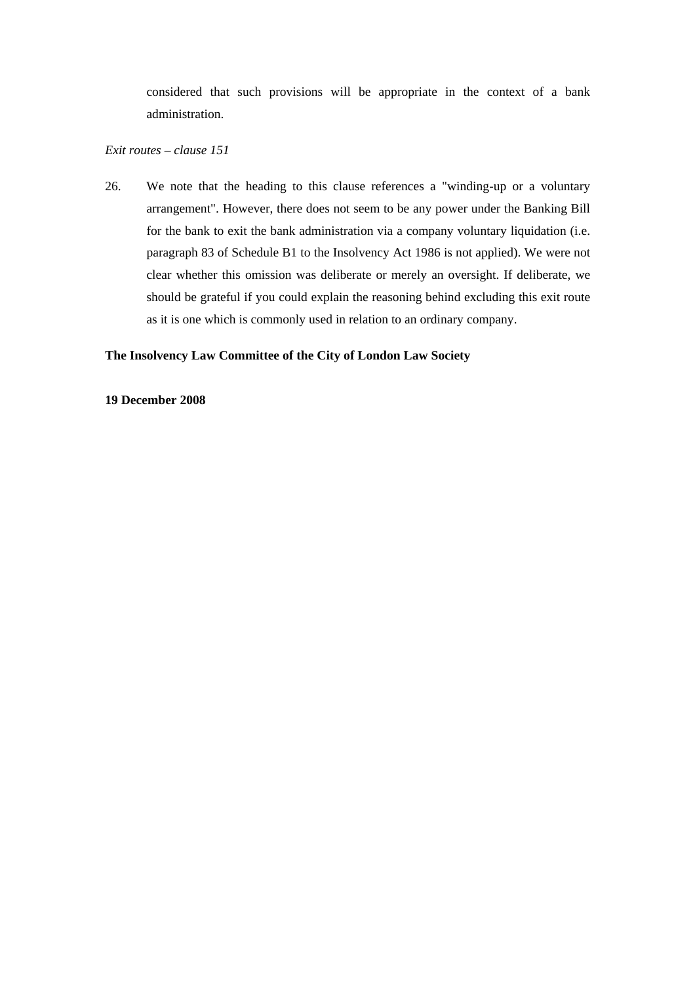considered that such provisions will be appropriate in the context of a bank administration.

# *Exit routes – clause 151*

26. We note that the heading to this clause references a "winding-up or a voluntary arrangement". However, there does not seem to be any power under the Banking Bill for the bank to exit the bank administration via a company voluntary liquidation (i.e. paragraph 83 of Schedule B1 to the Insolvency Act 1986 is not applied). We were not clear whether this omission was deliberate or merely an oversight. If deliberate, we should be grateful if you could explain the reasoning behind excluding this exit route as it is one which is commonly used in relation to an ordinary company.

# **The Insolvency Law Committee of the City of London Law Society**

## **19 December 2008**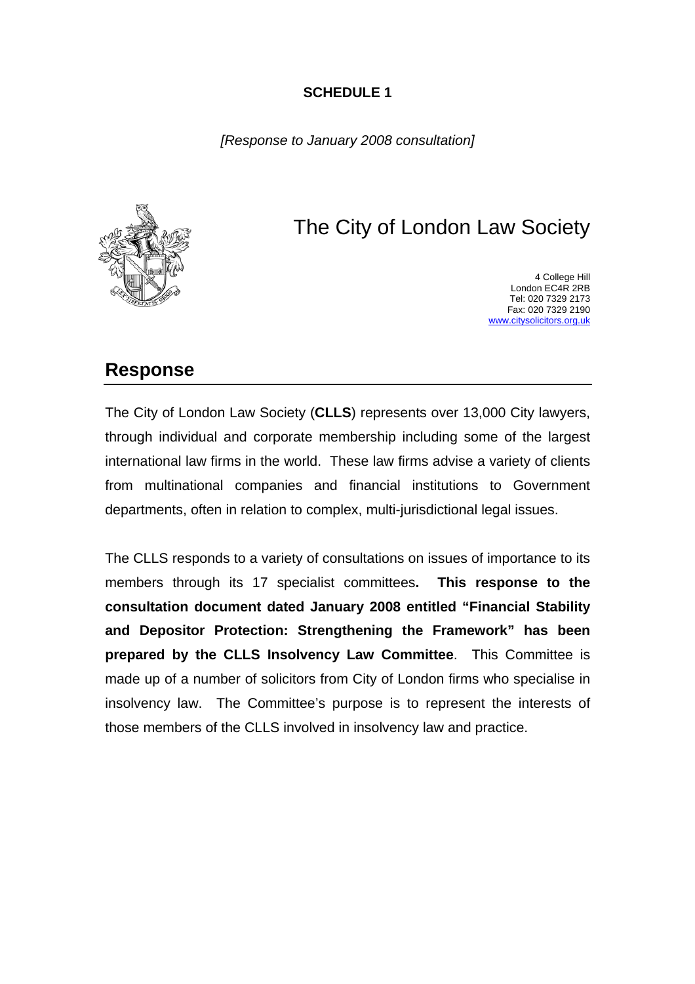# **SCHEDULE 1**

*[Response to January 2008 consultation]* 



# The City of London Law Society

4 College Hill London EC4R 2RB Tel: 020 7329 2173 Fax: 020 7329 2190 [www.citysolicitors.org.uk](http://www.citysolicitors.org.uk/)

# **Response**

The City of London Law Society (**CLLS**) represents over 13,000 City lawyers, through individual and corporate membership including some of the largest international law firms in the world. These law firms advise a variety of clients from multinational companies and financial institutions to Government departments, often in relation to complex, multi-jurisdictional legal issues.

The CLLS responds to a variety of consultations on issues of importance to its members through its 17 specialist committees**. This response to the consultation document dated January 2008 entitled "Financial Stability and Depositor Protection: Strengthening the Framework" has been prepared by the CLLS Insolvency Law Committee**. This Committee is made up of a number of solicitors from City of London firms who specialise in insolvency law. The Committee's purpose is to represent the interests of those members of the CLLS involved in insolvency law and practice.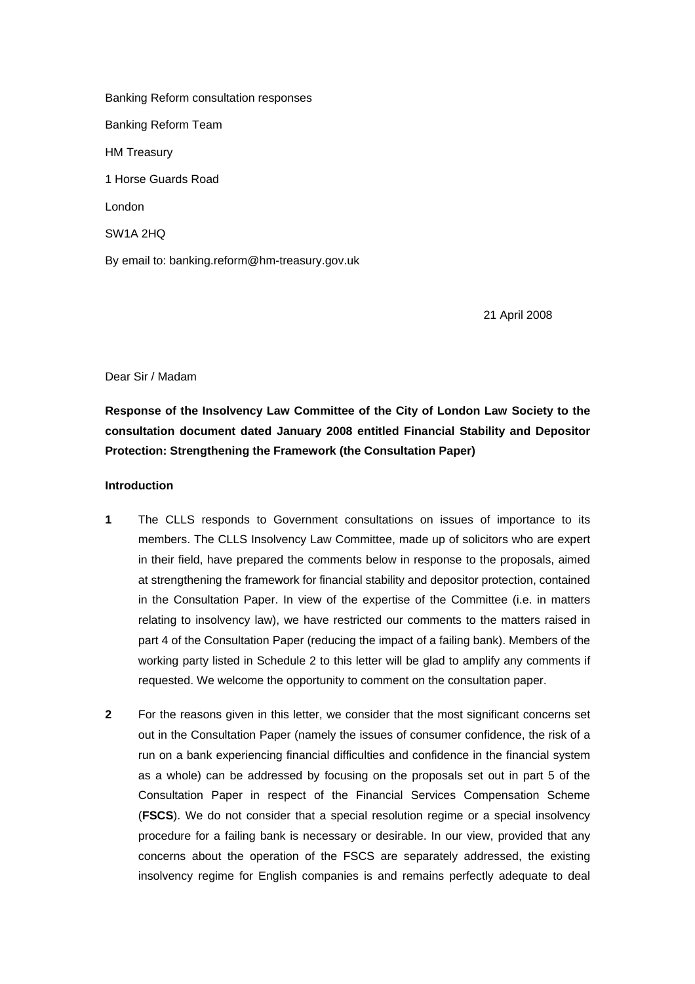Banking Reform consultation responses Banking Reform Team HM Treasury 1 Horse Guards Road London SW1A 2HQ By email to: banking.reform@hm-treasury.gov.uk

21 April 2008

Dear Sir / Madam

**Response of the Insolvency Law Committee of the City of London Law Society to the consultation document dated January 2008 entitled Financial Stability and Depositor Protection: Strengthening the Framework (the Consultation Paper)**

### **Introduction**

- **1** The CLLS responds to Government consultations on issues of importance to its members. The CLLS Insolvency Law Committee, made up of solicitors who are expert in their field, have prepared the comments below in response to the proposals, aimed at strengthening the framework for financial stability and depositor protection, contained in the Consultation Paper. In view of the expertise of the Committee (i.e. in matters relating to insolvency law), we have restricted our comments to the matters raised in part 4 of the Consultation Paper (reducing the impact of a failing bank). Members of the working party listed in Schedule 2 to this letter will be glad to amplify any comments if requested. We welcome the opportunity to comment on the consultation paper.
- **2** For the reasons given in this letter, we consider that the most significant concerns set out in the Consultation Paper (namely the issues of consumer confidence, the risk of a run on a bank experiencing financial difficulties and confidence in the financial system as a whole) can be addressed by focusing on the proposals set out in part 5 of the Consultation Paper in respect of the Financial Services Compensation Scheme (**FSCS**). We do not consider that a special resolution regime or a special insolvency procedure for a failing bank is necessary or desirable. In our view, provided that any concerns about the operation of the FSCS are separately addressed, the existing insolvency regime for English companies is and remains perfectly adequate to deal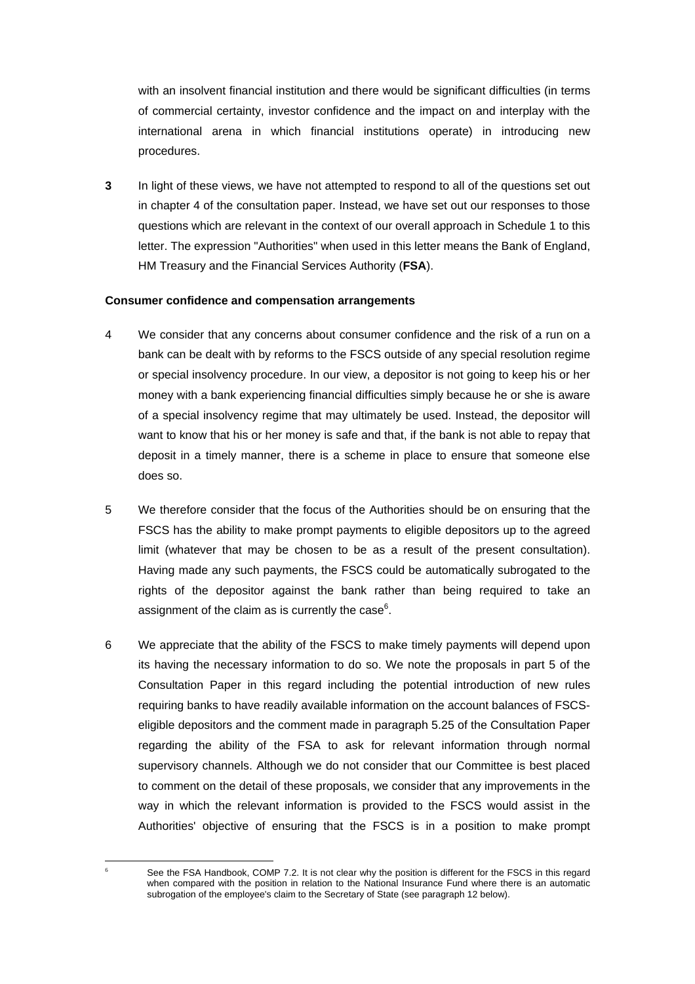with an insolvent financial institution and there would be significant difficulties (in terms of commercial certainty, investor confidence and the impact on and interplay with the international arena in which financial institutions operate) in introducing new procedures.

**3** In light of these views, we have not attempted to respond to all of the questions set out in chapter 4 of the consultation paper. Instead, we have set out our responses to those questions which are relevant in the context of our overall approach in Schedule 1 to this letter. The expression "Authorities" when used in this letter means the Bank of England, HM Treasury and the Financial Services Authority (**FSA**).

### **Consumer confidence and compensation arrangements**

- 4 We consider that any concerns about consumer confidence and the risk of a run on a bank can be dealt with by reforms to the FSCS outside of any special resolution regime or special insolvency procedure. In our view, a depositor is not going to keep his or her money with a bank experiencing financial difficulties simply because he or she is aware of a special insolvency regime that may ultimately be used. Instead, the depositor will want to know that his or her money is safe and that, if the bank is not able to repay that deposit in a timely manner, there is a scheme in place to ensure that someone else does so.
- 5 We therefore consider that the focus of the Authorities should be on ensuring that the FSCS has the ability to make prompt payments to eligible depositors up to the agreed limit (whatever that may be chosen to be as a result of the present consultation). Having made any such payments, the FSCS could be automatically subrogated to the rights of the depositor against the bank rather than being required to take an assignment of the claim as is currently the case $6$ [.](#page-13-0)
- 6 We appreciate that the ability of the FSCS to make timely payments will depend upon its having the necessary information to do so. We note the proposals in part 5 of the Consultation Paper in this regard including the potential introduction of new rules requiring banks to have readily available information on the account balances of FSCSeligible depositors and the comment made in paragraph 5.25 of the Consultation Paper regarding the ability of the FSA to ask for relevant information through normal supervisory channels. Although we do not consider that our Committee is best placed to comment on the detail of these proposals, we consider that any improvements in the way in which the relevant information is provided to the FSCS would assist in the Authorities' objective of ensuring that the FSCS is in a position to make prompt

<span id="page-13-0"></span> $\overline{a}$ 6

See the FSA Handbook, COMP 7.2. It is not clear why the position is different for the FSCS in this regard when compared with the position in relation to the National Insurance Fund where there is an automatic subrogation of the employee's claim to the Secretary of State (see paragraph 12 below).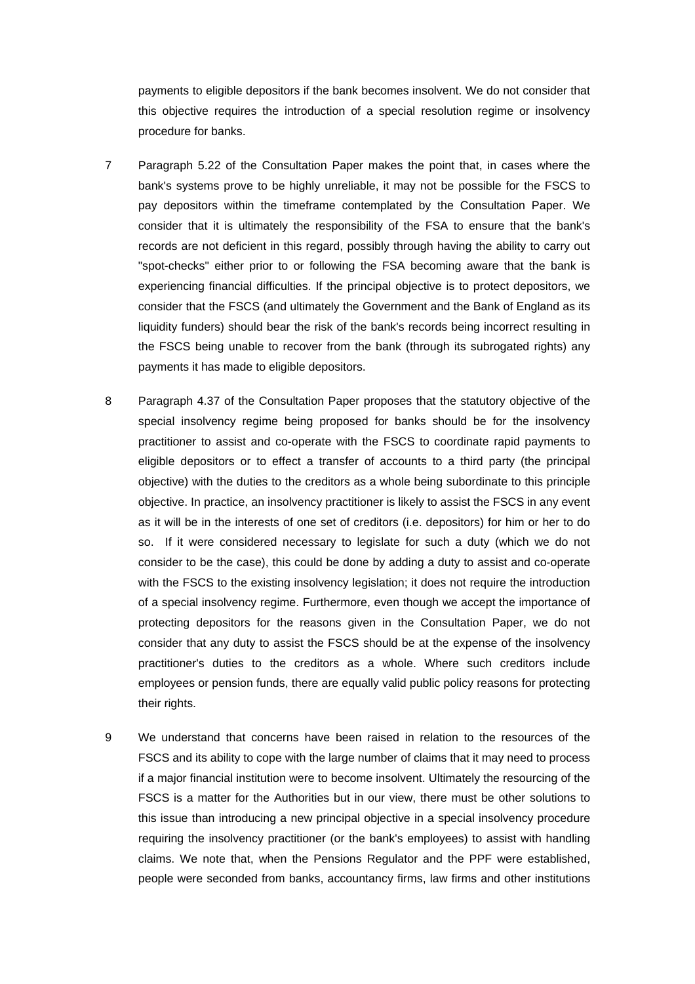payments to eligible depositors if the bank becomes insolvent. We do not consider that this objective requires the introduction of a special resolution regime or insolvency procedure for banks.

- 7 Paragraph 5.22 of the Consultation Paper makes the point that, in cases where the bank's systems prove to be highly unreliable, it may not be possible for the FSCS to pay depositors within the timeframe contemplated by the Consultation Paper. We consider that it is ultimately the responsibility of the FSA to ensure that the bank's records are not deficient in this regard, possibly through having the ability to carry out "spot-checks" either prior to or following the FSA becoming aware that the bank is experiencing financial difficulties. If the principal objective is to protect depositors, we consider that the FSCS (and ultimately the Government and the Bank of England as its liquidity funders) should bear the risk of the bank's records being incorrect resulting in the FSCS being unable to recover from the bank (through its subrogated rights) any payments it has made to eligible depositors.
- 8 Paragraph 4.37 of the Consultation Paper proposes that the statutory objective of the special insolvency regime being proposed for banks should be for the insolvency practitioner to assist and co-operate with the FSCS to coordinate rapid payments to eligible depositors or to effect a transfer of accounts to a third party (the principal objective) with the duties to the creditors as a whole being subordinate to this principle objective. In practice, an insolvency practitioner is likely to assist the FSCS in any event as it will be in the interests of one set of creditors (i.e. depositors) for him or her to do so. If it were considered necessary to legislate for such a duty (which we do not consider to be the case), this could be done by adding a duty to assist and co-operate with the FSCS to the existing insolvency legislation; it does not require the introduction of a special insolvency regime. Furthermore, even though we accept the importance of protecting depositors for the reasons given in the Consultation Paper, we do not consider that any duty to assist the FSCS should be at the expense of the insolvency practitioner's duties to the creditors as a whole. Where such creditors include employees or pension funds, there are equally valid public policy reasons for protecting their rights.
- 9 We understand that concerns have been raised in relation to the resources of the FSCS and its ability to cope with the large number of claims that it may need to process if a major financial institution were to become insolvent. Ultimately the resourcing of the FSCS is a matter for the Authorities but in our view, there must be other solutions to this issue than introducing a new principal objective in a special insolvency procedure requiring the insolvency practitioner (or the bank's employees) to assist with handling claims. We note that, when the Pensions Regulator and the PPF were established, people were seconded from banks, accountancy firms, law firms and other institutions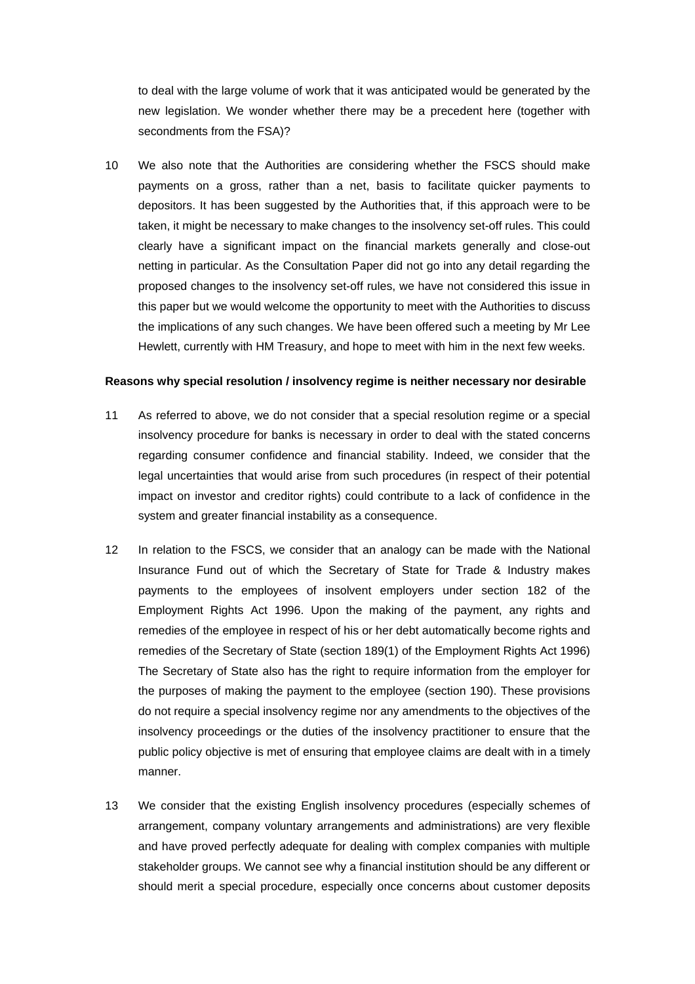to deal with the large volume of work that it was anticipated would be generated by the new legislation. We wonder whether there may be a precedent here (together with secondments from the FSA)?

10 We also note that the Authorities are considering whether the FSCS should make payments on a gross, rather than a net, basis to facilitate quicker payments to depositors. It has been suggested by the Authorities that, if this approach were to be taken, it might be necessary to make changes to the insolvency set-off rules. This could clearly have a significant impact on the financial markets generally and close-out netting in particular. As the Consultation Paper did not go into any detail regarding the proposed changes to the insolvency set-off rules, we have not considered this issue in this paper but we would welcome the opportunity to meet with the Authorities to discuss the implications of any such changes. We have been offered such a meeting by Mr Lee Hewlett, currently with HM Treasury, and hope to meet with him in the next few weeks.

#### **Reasons why special resolution / insolvency regime is neither necessary nor desirable**

- 11 As referred to above, we do not consider that a special resolution regime or a special insolvency procedure for banks is necessary in order to deal with the stated concerns regarding consumer confidence and financial stability. Indeed, we consider that the legal uncertainties that would arise from such procedures (in respect of their potential impact on investor and creditor rights) could contribute to a lack of confidence in the system and greater financial instability as a consequence.
- 12 In relation to the FSCS, we consider that an analogy can be made with the National Insurance Fund out of which the Secretary of State for Trade & Industry makes payments to the employees of insolvent employers under section 182 of the Employment Rights Act 1996. Upon the making of the payment, any rights and remedies of the employee in respect of his or her debt automatically become rights and remedies of the Secretary of State (section 189(1) of the Employment Rights Act 1996) The Secretary of State also has the right to require information from the employer for the purposes of making the payment to the employee (section 190). These provisions do not require a special insolvency regime nor any amendments to the objectives of the insolvency proceedings or the duties of the insolvency practitioner to ensure that the public policy objective is met of ensuring that employee claims are dealt with in a timely manner.
- 13 We consider that the existing English insolvency procedures (especially schemes of arrangement, company voluntary arrangements and administrations) are very flexible and have proved perfectly adequate for dealing with complex companies with multiple stakeholder groups. We cannot see why a financial institution should be any different or should merit a special procedure, especially once concerns about customer deposits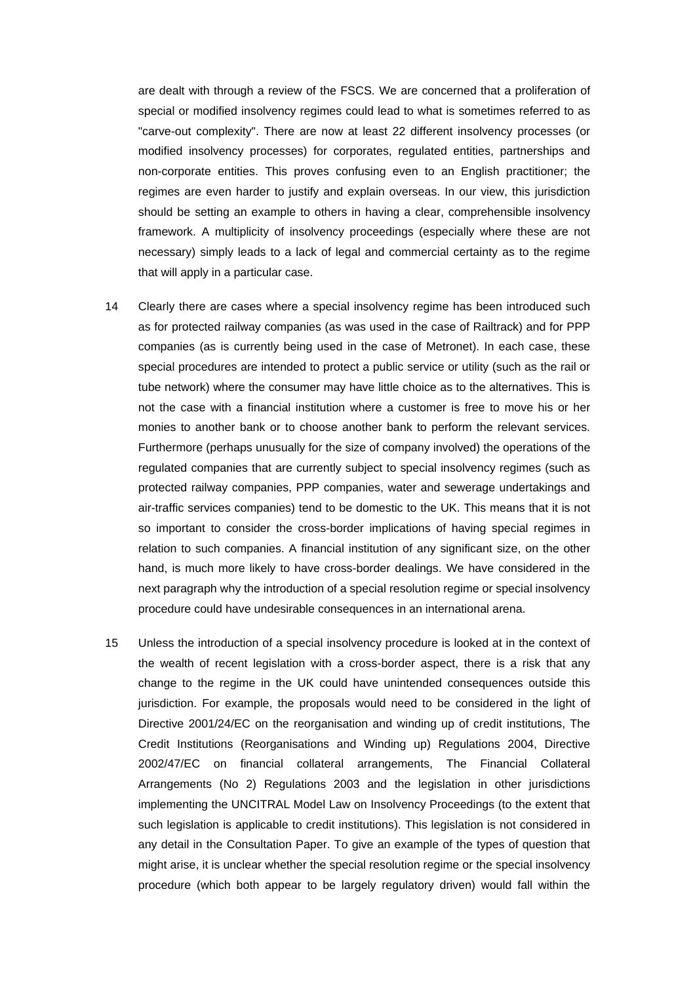are dealt with through a review of the FSCS. We are concerned that a proliferation of special or modified insolvency regimes could lead to what is sometimes referred to as "carve-out complexity". There are now at least 22 different insolvency processes (or modified insolvency processes) for corporates, regulated entities, partnerships and non-corporate entities. This proves confusing even to an English practitioner; the regimes are even harder to justify and explain overseas. In our view, this jurisdiction should be setting an example to others in having a clear, comprehensible insolvency framework. A multiplicity of insolvency proceedings (especially where these are not necessary) simply leads to a lack of legal and commercial certainty as to the regime that will apply in a particular case.

- 14 Clearly there are cases where a special insolvency regime has been introduced such as for protected railway companies (as was used in the case of Railtrack) and for PPP companies (as is currently being used in the case of Metronet). In each case, these special procedures are intended to protect a public service or utility (such as the rail or tube network) where the consumer may have little choice as to the alternatives. This is not the case with a financial institution where a customer is free to move his or her monies to another bank or to choose another bank to perform the relevant services. Furthermore (perhaps unusually for the size of company involved) the operations of the regulated companies that are currently subject to special insolvency regimes (such as protected railway companies, PPP companies, water and sewerage undertakings and air-traffic services companies) tend to be domestic to the UK. This means that it is not so important to consider the cross-border implications of having special regimes in relation to such companies. A financial institution of any significant size, on the other hand, is much more likely to have cross-border dealings. We have considered in the next paragraph why the introduction of a special resolution regime or special insolvency procedure could have undesirable consequences in an international arena.
- 15 Unless the introduction of a special insolvency procedure is looked at in the context of the wealth of recent legislation with a cross-border aspect, there is a risk that any change to the regime in the UK could have unintended consequences outside this jurisdiction. For example, the proposals would need to be considered in the light of Directive 2001/24/EC on the reorganisation and winding up of credit institutions, The Credit Institutions (Reorganisations and Winding up) Regulations 2004, Directive 2002/47/EC on financial collateral arrangements, The Financial Collateral Arrangements (No 2) Regulations 2003 and the legislation in other jurisdictions implementing the UNCITRAL Model Law on Insolvency Proceedings (to the extent that such legislation is applicable to credit institutions). This legislation is not considered in any detail in the Consultation Paper. To give an example of the types of question that might arise, it is unclear whether the special resolution regime or the special insolvency procedure (which both appear to be largely regulatory driven) would fall within the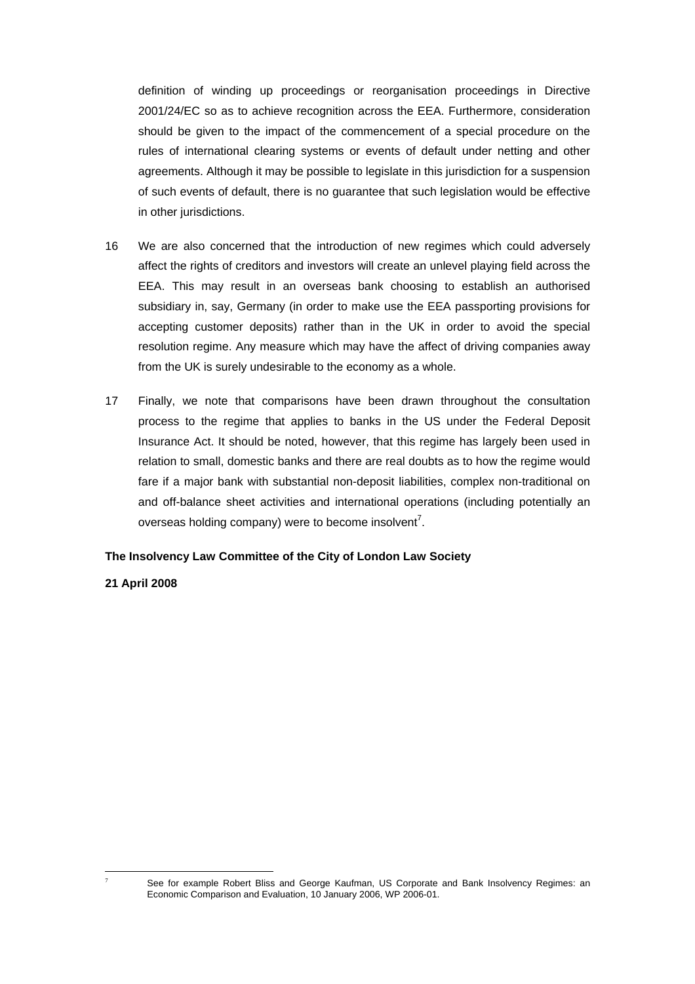definition of winding up proceedings or reorganisation proceedings in Directive 2001/24/EC so as to achieve recognition across the EEA. Furthermore, consideration should be given to the impact of the commencement of a special procedure on the rules of international clearing systems or events of default under netting and other agreements. Although it may be possible to legislate in this jurisdiction for a suspension of such events of default, there is no guarantee that such legislation would be effective in other jurisdictions.

- 16 We are also concerned that the introduction of new regimes which could adversely affect the rights of creditors and investors will create an unlevel playing field across the EEA. This may result in an overseas bank choosing to establish an authorised subsidiary in, say, Germany (in order to make use the EEA passporting provisions for accepting customer deposits) rather than in the UK in order to avoid the special resolution regime. Any measure which may have the affect of driving companies away from the UK is surely undesirable to the economy as a whole.
- 17 Finally, we note that comparisons have been drawn throughout the consultation process to the regime that applies to banks in the US under the Federal Deposit Insurance Act. It should be noted, however, that this regime has largely been used in relation to small, domestic banks and there are real doubts as to how the regime would fare if a major bank with substantial non-deposit liabilities, complex non-traditional on and off-balance sheet activities and international operations (including potentially an overseas holding company) were to become insolvent<sup>7</sup>[.](#page-17-0)

## **The Insolvency Law Committee of the City of London Law Society**

## **21 April 2008**

<span id="page-17-0"></span> $\overline{a}$ 7

See for example Robert Bliss and George Kaufman, US Corporate and Bank Insolvency Regimes: an Economic Comparison and Evaluation, 10 January 2006, WP 2006-01.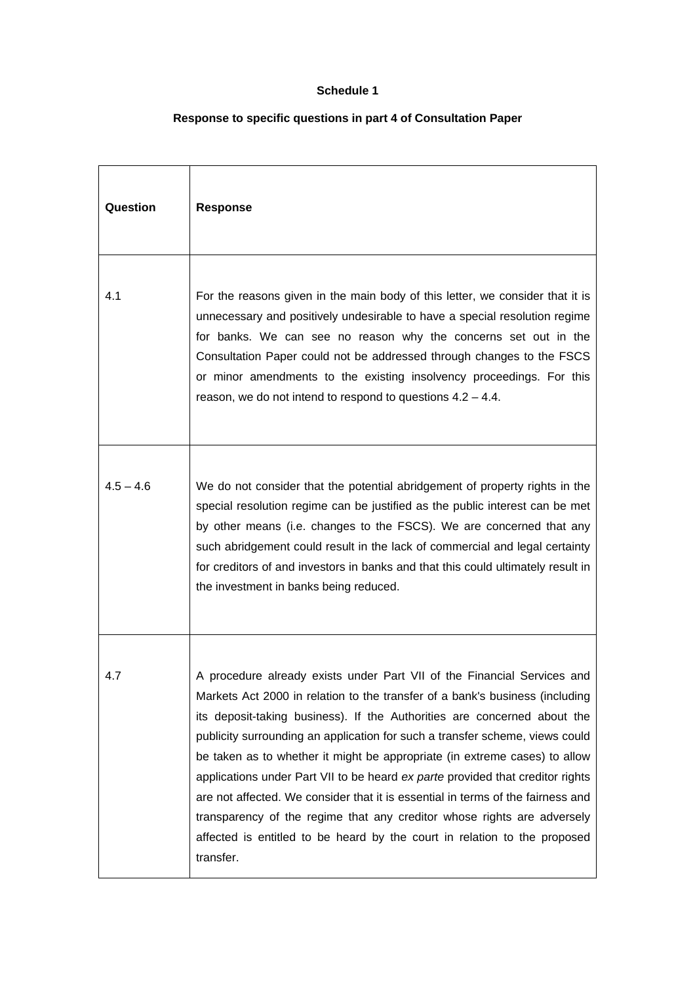# **Schedule 1**

# **Response to specific questions in part 4 of Consultation Paper**

| Question    | <b>Response</b>                                                                                                                                                                                                                                                                                                                                                                                                                                                                                                                                                                                                                                                                                                                             |
|-------------|---------------------------------------------------------------------------------------------------------------------------------------------------------------------------------------------------------------------------------------------------------------------------------------------------------------------------------------------------------------------------------------------------------------------------------------------------------------------------------------------------------------------------------------------------------------------------------------------------------------------------------------------------------------------------------------------------------------------------------------------|
| 4.1         | For the reasons given in the main body of this letter, we consider that it is<br>unnecessary and positively undesirable to have a special resolution regime<br>for banks. We can see no reason why the concerns set out in the<br>Consultation Paper could not be addressed through changes to the FSCS<br>or minor amendments to the existing insolvency proceedings. For this<br>reason, we do not intend to respond to questions $4.2 - 4.4$ .                                                                                                                                                                                                                                                                                           |
| $4.5 - 4.6$ | We do not consider that the potential abridgement of property rights in the<br>special resolution regime can be justified as the public interest can be met<br>by other means (i.e. changes to the FSCS). We are concerned that any<br>such abridgement could result in the lack of commercial and legal certainty<br>for creditors of and investors in banks and that this could ultimately result in<br>the investment in banks being reduced.                                                                                                                                                                                                                                                                                            |
| 4.7         | A procedure already exists under Part VII of the Financial Services and<br>Markets Act 2000 in relation to the transfer of a bank's business (including<br>its deposit-taking business). If the Authorities are concerned about the<br>publicity surrounding an application for such a transfer scheme, views could<br>be taken as to whether it might be appropriate (in extreme cases) to allow<br>applications under Part VII to be heard ex parte provided that creditor rights<br>are not affected. We consider that it is essential in terms of the fairness and<br>transparency of the regime that any creditor whose rights are adversely<br>affected is entitled to be heard by the court in relation to the proposed<br>transfer. |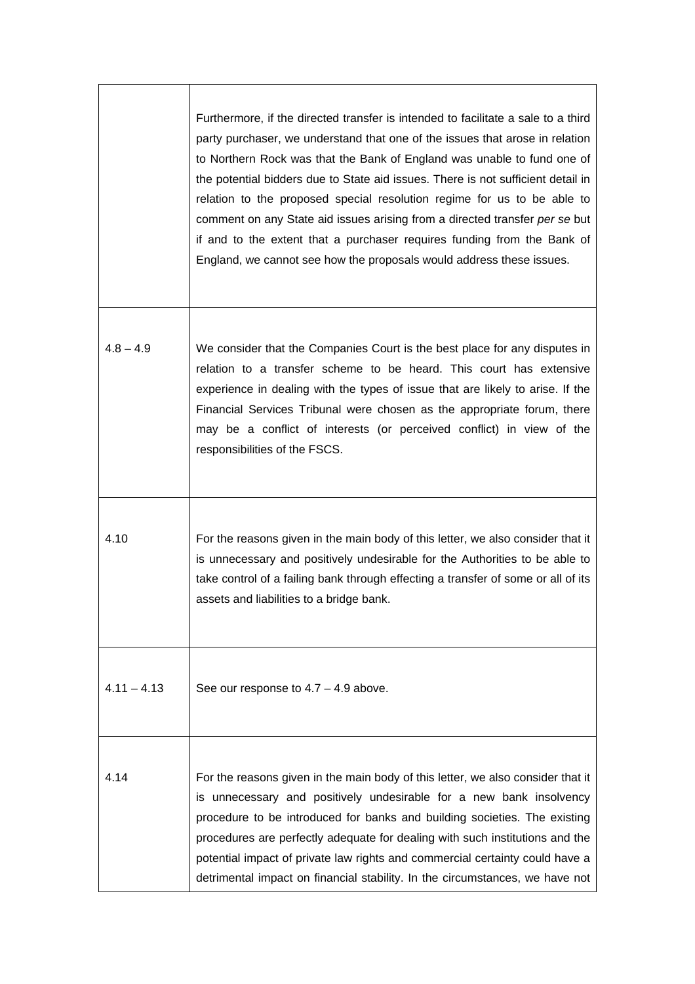|               | Furthermore, if the directed transfer is intended to facilitate a sale to a third<br>party purchaser, we understand that one of the issues that arose in relation<br>to Northern Rock was that the Bank of England was unable to fund one of<br>the potential bidders due to State aid issues. There is not sufficient detail in<br>relation to the proposed special resolution regime for us to be able to<br>comment on any State aid issues arising from a directed transfer per se but<br>if and to the extent that a purchaser requires funding from the Bank of<br>England, we cannot see how the proposals would address these issues. |
|---------------|-----------------------------------------------------------------------------------------------------------------------------------------------------------------------------------------------------------------------------------------------------------------------------------------------------------------------------------------------------------------------------------------------------------------------------------------------------------------------------------------------------------------------------------------------------------------------------------------------------------------------------------------------|
| $4.8 - 4.9$   | We consider that the Companies Court is the best place for any disputes in<br>relation to a transfer scheme to be heard. This court has extensive<br>experience in dealing with the types of issue that are likely to arise. If the<br>Financial Services Tribunal were chosen as the appropriate forum, there<br>may be a conflict of interests (or perceived conflict) in view of the<br>responsibilities of the FSCS.                                                                                                                                                                                                                      |
| 4.10          | For the reasons given in the main body of this letter, we also consider that it<br>is unnecessary and positively undesirable for the Authorities to be able to<br>take control of a failing bank through effecting a transfer of some or all of its<br>assets and liabilities to a bridge bank.                                                                                                                                                                                                                                                                                                                                               |
| $4.11 - 4.13$ | See our response to $4.7 - 4.9$ above.                                                                                                                                                                                                                                                                                                                                                                                                                                                                                                                                                                                                        |
| 4.14          | For the reasons given in the main body of this letter, we also consider that it<br>is unnecessary and positively undesirable for a new bank insolvency<br>procedure to be introduced for banks and building societies. The existing<br>procedures are perfectly adequate for dealing with such institutions and the<br>potential impact of private law rights and commercial certainty could have a<br>detrimental impact on financial stability. In the circumstances, we have not                                                                                                                                                           |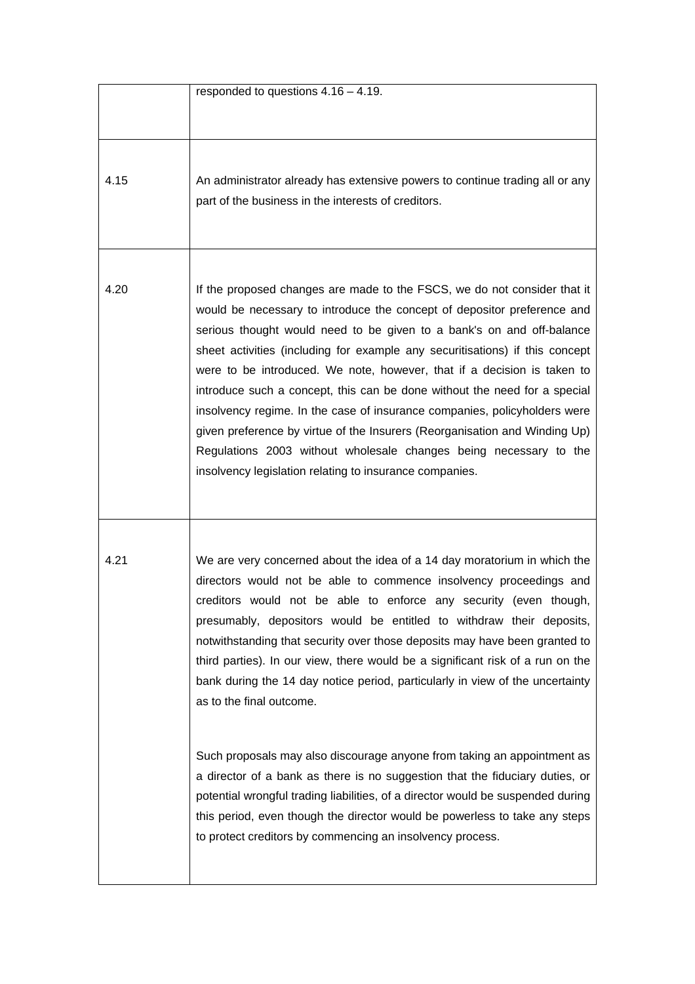|      | responded to questions $4.16 - 4.19$ .                                                                                                                                                                                                                                                                                                                                                                                                                                                                                                                                                                                                                                                                                                                                                                                                                                                                                                                            |
|------|-------------------------------------------------------------------------------------------------------------------------------------------------------------------------------------------------------------------------------------------------------------------------------------------------------------------------------------------------------------------------------------------------------------------------------------------------------------------------------------------------------------------------------------------------------------------------------------------------------------------------------------------------------------------------------------------------------------------------------------------------------------------------------------------------------------------------------------------------------------------------------------------------------------------------------------------------------------------|
| 4.15 | An administrator already has extensive powers to continue trading all or any<br>part of the business in the interests of creditors.                                                                                                                                                                                                                                                                                                                                                                                                                                                                                                                                                                                                                                                                                                                                                                                                                               |
| 4.20 | If the proposed changes are made to the FSCS, we do not consider that it<br>would be necessary to introduce the concept of depositor preference and<br>serious thought would need to be given to a bank's on and off-balance<br>sheet activities (including for example any securitisations) if this concept<br>were to be introduced. We note, however, that if a decision is taken to<br>introduce such a concept, this can be done without the need for a special<br>insolvency regime. In the case of insurance companies, policyholders were<br>given preference by virtue of the Insurers (Reorganisation and Winding Up)<br>Regulations 2003 without wholesale changes being necessary to the<br>insolvency legislation relating to insurance companies.                                                                                                                                                                                                   |
| 4.21 | We are very concerned about the idea of a 14 day moratorium in which the<br>directors would not be able to commence insolvency proceedings and<br>creditors would not be able to enforce any security (even though,<br>presumably, depositors would be entitled to withdraw their deposits,<br>notwithstanding that security over those deposits may have been granted to<br>third parties). In our view, there would be a significant risk of a run on the<br>bank during the 14 day notice period, particularly in view of the uncertainty<br>as to the final outcome.<br>Such proposals may also discourage anyone from taking an appointment as<br>a director of a bank as there is no suggestion that the fiduciary duties, or<br>potential wrongful trading liabilities, of a director would be suspended during<br>this period, even though the director would be powerless to take any steps<br>to protect creditors by commencing an insolvency process. |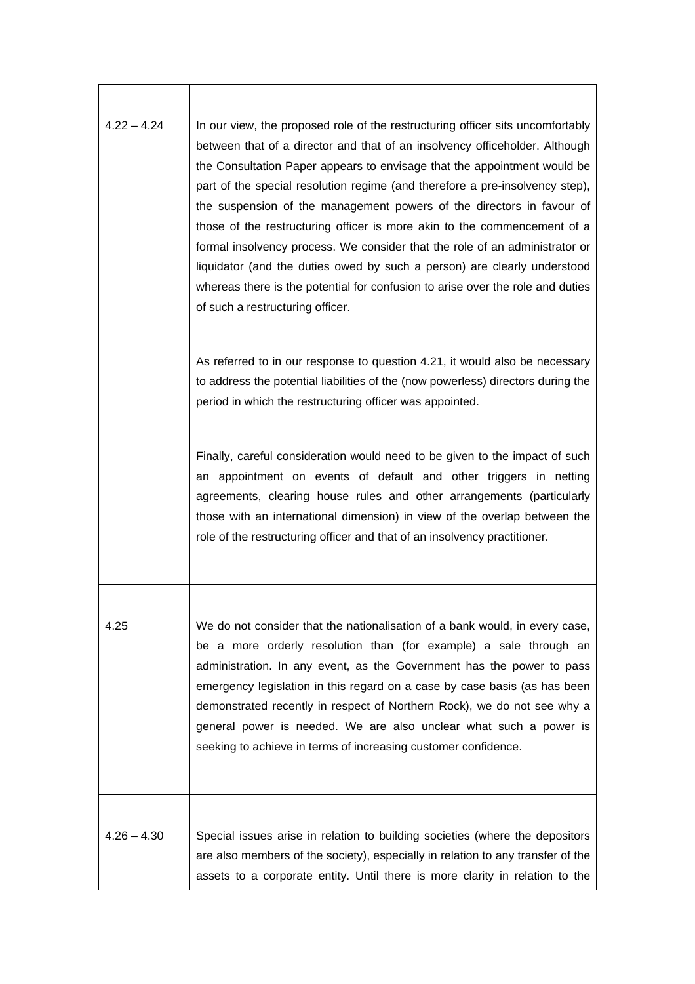| $4.22 - 4.24$ | In our view, the proposed role of the restructuring officer sits uncomfortably<br>between that of a director and that of an insolvency officeholder. Although<br>the Consultation Paper appears to envisage that the appointment would be<br>part of the special resolution regime (and therefore a pre-insolvency step),<br>the suspension of the management powers of the directors in favour of<br>those of the restructuring officer is more akin to the commencement of a<br>formal insolvency process. We consider that the role of an administrator or<br>liquidator (and the duties owed by such a person) are clearly understood<br>whereas there is the potential for confusion to arise over the role and duties<br>of such a restructuring officer. |
|---------------|-----------------------------------------------------------------------------------------------------------------------------------------------------------------------------------------------------------------------------------------------------------------------------------------------------------------------------------------------------------------------------------------------------------------------------------------------------------------------------------------------------------------------------------------------------------------------------------------------------------------------------------------------------------------------------------------------------------------------------------------------------------------|
|               | As referred to in our response to question 4.21, it would also be necessary<br>to address the potential liabilities of the (now powerless) directors during the<br>period in which the restructuring officer was appointed.                                                                                                                                                                                                                                                                                                                                                                                                                                                                                                                                     |
|               | Finally, careful consideration would need to be given to the impact of such<br>an appointment on events of default and other triggers in netting<br>agreements, clearing house rules and other arrangements (particularly<br>those with an international dimension) in view of the overlap between the<br>role of the restructuring officer and that of an insolvency practitioner.                                                                                                                                                                                                                                                                                                                                                                             |
| 4.25          | We do not consider that the nationalisation of a bank would, in every case,<br>be a more orderly resolution than (for example) a sale through an<br>administration. In any event, as the Government has the power to pass<br>emergency legislation in this regard on a case by case basis (as has been<br>demonstrated recently in respect of Northern Rock), we do not see why a<br>general power is needed. We are also unclear what such a power is<br>seeking to achieve in terms of increasing customer confidence.                                                                                                                                                                                                                                        |
| $4.26 - 4.30$ | Special issues arise in relation to building societies (where the depositors<br>are also members of the society), especially in relation to any transfer of the<br>assets to a corporate entity. Until there is more clarity in relation to the                                                                                                                                                                                                                                                                                                                                                                                                                                                                                                                 |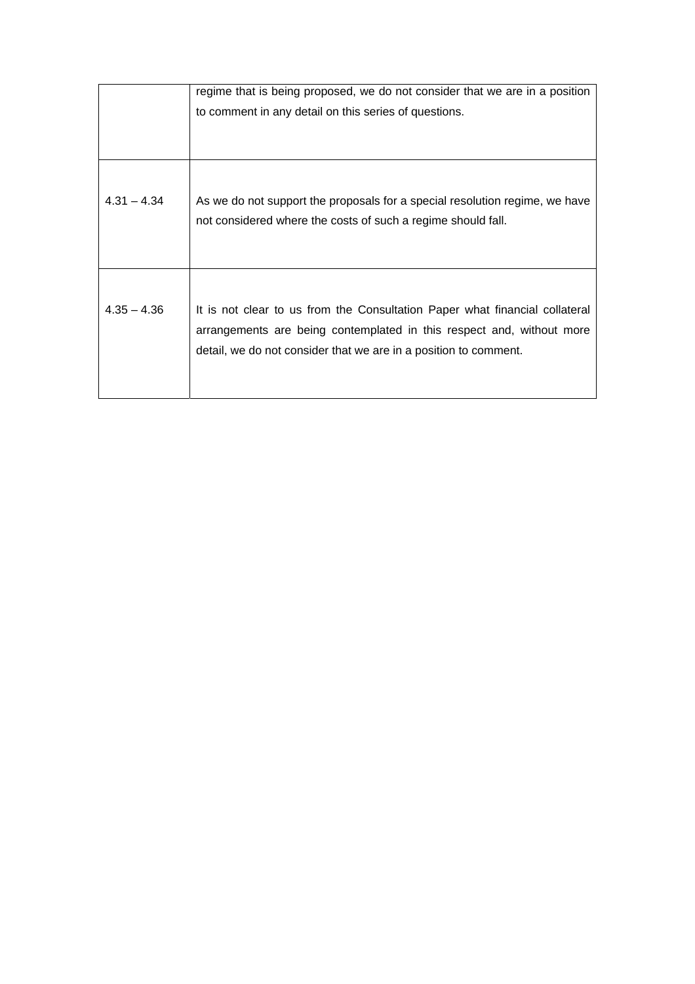|               | regime that is being proposed, we do not consider that we are in a position                                                                                                                                              |
|---------------|--------------------------------------------------------------------------------------------------------------------------------------------------------------------------------------------------------------------------|
|               | to comment in any detail on this series of questions.                                                                                                                                                                    |
|               |                                                                                                                                                                                                                          |
|               |                                                                                                                                                                                                                          |
| $4.31 - 4.34$ | As we do not support the proposals for a special resolution regime, we have<br>not considered where the costs of such a regime should fall.                                                                              |
| $4.35 - 4.36$ | It is not clear to us from the Consultation Paper what financial collateral<br>arrangements are being contemplated in this respect and, without more<br>detail, we do not consider that we are in a position to comment. |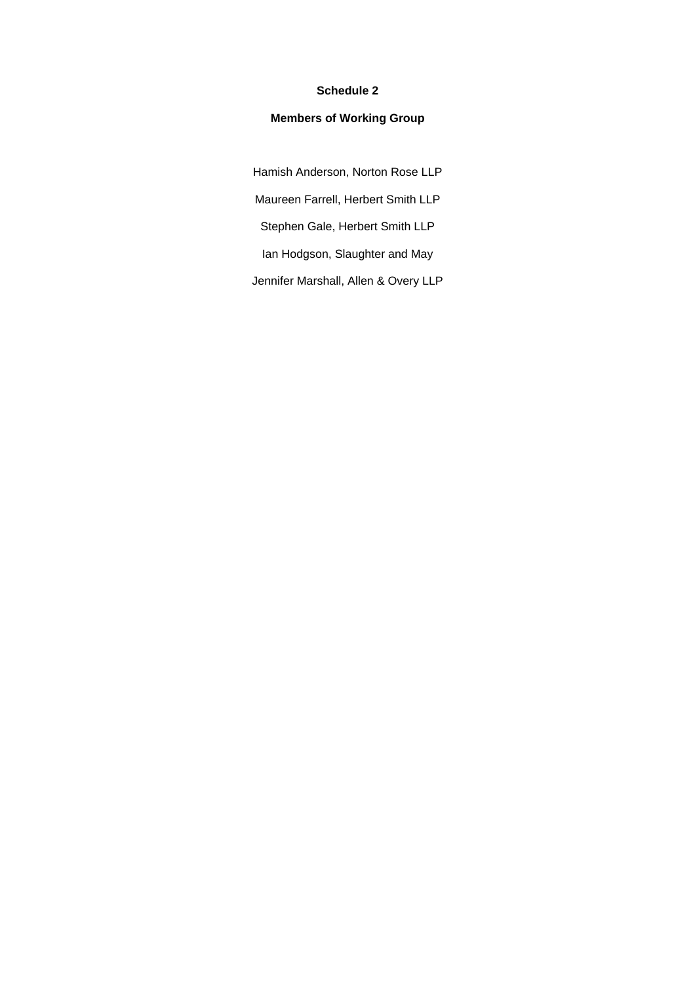# **Schedule 2**

# **Members of Working Group**

Hamish Anderson, Norton Rose LLP Maureen Farrell, Herbert Smith LLP Stephen Gale, Herbert Smith LLP Ian Hodgson, Slaughter and May Jennifer Marshall, Allen & Overy LLP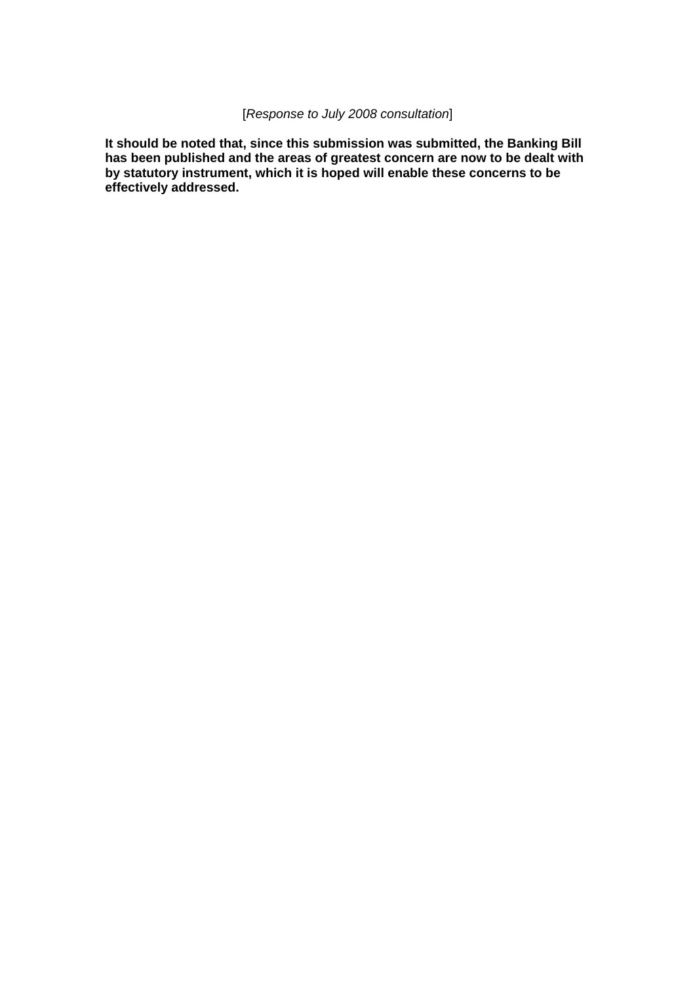# [*Response to July 2008 consultation*]

**It should be noted that, since this submission was submitted, the Banking Bill has been published and the areas of greatest concern are now to be dealt with by statutory instrument, which it is hoped will enable these concerns to be effectively addressed.**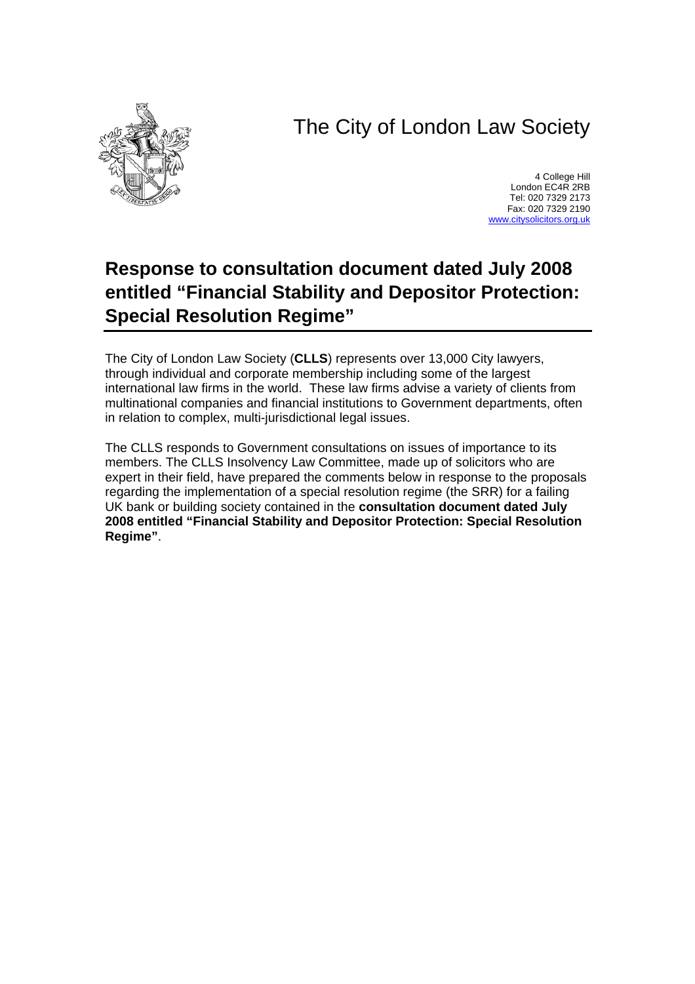# The City of London Law Society



4 College Hill London EC4R 2RB Tel: 020 7329 2173 Fax: 020 7329 2190 [www.citysolicitors.org.uk](http://www.citysolicitors.org.uk/)

# **Response to consultation document dated July 2008 entitled "Financial Stability and Depositor Protection: Special Resolution Regime"**

The City of London Law Society (**CLLS**) represents over 13,000 City lawyers, through individual and corporate membership including some of the largest international law firms in the world. These law firms advise a variety of clients from multinational companies and financial institutions to Government departments, often in relation to complex, multi-jurisdictional legal issues.

The CLLS responds to Government consultations on issues of importance to its members. The CLLS Insolvency Law Committee, made up of solicitors who are expert in their field, have prepared the comments below in response to the proposals regarding the implementation of a special resolution regime (the SRR) for a failing UK bank or building society contained in the **consultation document dated July 2008 entitled "Financial Stability and Depositor Protection: Special Resolution Regime"**.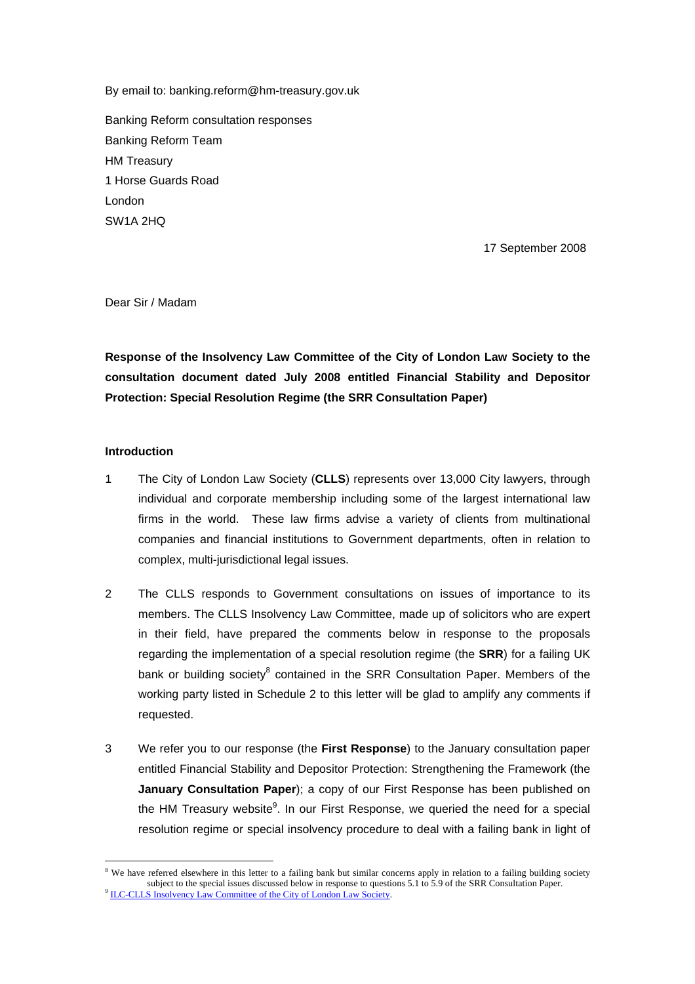By email to: banking.reform@hm-treasury.gov.uk

Banking Reform consultation responses Banking Reform Team HM Treasury 1 Horse Guards Road London SW1A 2HQ

17 September 2008

Dear Sir / Madam

**Response of the Insolvency Law Committee of the City of London Law Society to the consultation document dated July 2008 entitled Financial Stability and Depositor Protection: Special Resolution Regime (the SRR Consultation Paper)** 

### **Introduction**

 $\overline{a}$ 

- 1 The City of London Law Society (**CLLS**) represents over 13,000 City lawyers, through individual and corporate membership including some of the largest international law firms in the world. These law firms advise a variety of clients from multinational companies and financial institutions to Government departments, often in relation to complex, multi-jurisdictional legal issues.
- 2 The CLLS responds to Government consultations on issues of importance to its members. The CLLS Insolvency Law Committee, made up of solicitors who are expert in their field, have prepared the comments below in response to the proposals regarding the implementation of a special resolution regime (the **SRR**) for a failing UK bank or building society<sup>[8](#page-26-0)</sup> contained in the SRR Consultation Paper. Members of the working party listed in Schedule 2 to this letter will be glad to amplify any comments if requested.
- 3 We refer you to our response (the **First Response**) to the January consultation paper entitled Financial Stability and Depositor Protection: Strengthening the Framework (the **January Consultation Paper**); a copy of our First Response has been published on the HM Treasury website<sup>[9](#page-26-1)</sup>. In our First Response, we queried the need for a special resolution regime or special insolvency procedure to deal with a failing bank in light of

<span id="page-26-1"></span><span id="page-26-0"></span><sup>&</sup>lt;sup>8</sup> We have referred elsewhere in this letter to a failing bank but similar concerns apply in relation to a failing building society subject to the special issues discussed below in response to questions 5.1 to 5.9 of the SRR Consultation Paper.<br><sup>9</sup> ILC-CLLS Insolvency Law Commi<u>ttee of the City of London Law Society</u>.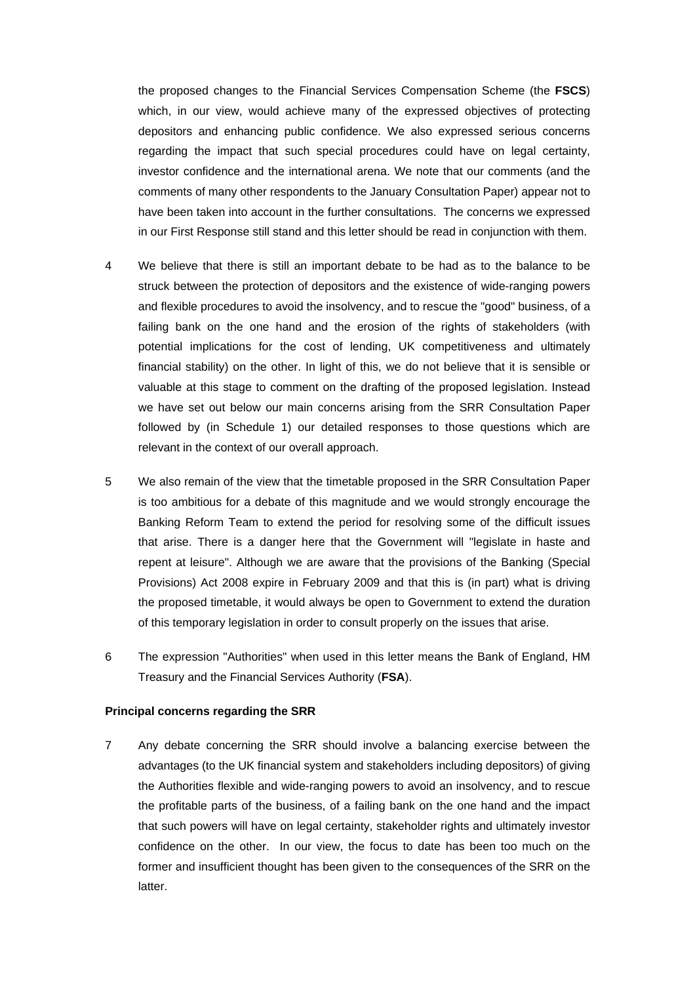the proposed changes to the Financial Services Compensation Scheme (the **FSCS**) which, in our view, would achieve many of the expressed objectives of protecting depositors and enhancing public confidence. We also expressed serious concerns regarding the impact that such special procedures could have on legal certainty, investor confidence and the international arena. We note that our comments (and the comments of many other respondents to the January Consultation Paper) appear not to have been taken into account in the further consultations. The concerns we expressed in our First Response still stand and this letter should be read in conjunction with them.

- 4 We believe that there is still an important debate to be had as to the balance to be struck between the protection of depositors and the existence of wide-ranging powers and flexible procedures to avoid the insolvency, and to rescue the "good" business, of a failing bank on the one hand and the erosion of the rights of stakeholders (with potential implications for the cost of lending, UK competitiveness and ultimately financial stability) on the other. In light of this, we do not believe that it is sensible or valuable at this stage to comment on the drafting of the proposed legislation. Instead we have set out below our main concerns arising from the SRR Consultation Paper followed by (in Schedule 1) our detailed responses to those questions which are relevant in the context of our overall approach.
- 5 We also remain of the view that the timetable proposed in the SRR Consultation Paper is too ambitious for a debate of this magnitude and we would strongly encourage the Banking Reform Team to extend the period for resolving some of the difficult issues that arise. There is a danger here that the Government will "legislate in haste and repent at leisure". Although we are aware that the provisions of the Banking (Special Provisions) Act 2008 expire in February 2009 and that this is (in part) what is driving the proposed timetable, it would always be open to Government to extend the duration of this temporary legislation in order to consult properly on the issues that arise.
- 6 The expression "Authorities" when used in this letter means the Bank of England, HM Treasury and the Financial Services Authority (**FSA**).

### **Principal concerns regarding the SRR**

7 Any debate concerning the SRR should involve a balancing exercise between the advantages (to the UK financial system and stakeholders including depositors) of giving the Authorities flexible and wide-ranging powers to avoid an insolvency, and to rescue the profitable parts of the business, of a failing bank on the one hand and the impact that such powers will have on legal certainty, stakeholder rights and ultimately investor confidence on the other. In our view, the focus to date has been too much on the former and insufficient thought has been given to the consequences of the SRR on the latter.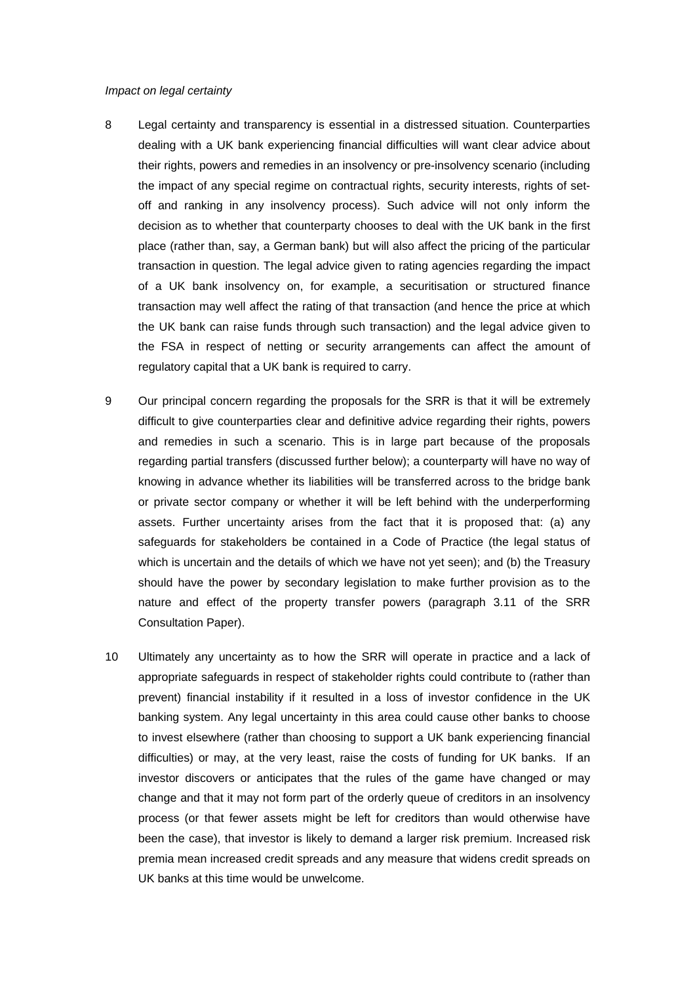### *Impact on legal certainty*

- 8 Legal certainty and transparency is essential in a distressed situation. Counterparties dealing with a UK bank experiencing financial difficulties will want clear advice about their rights, powers and remedies in an insolvency or pre-insolvency scenario (including the impact of any special regime on contractual rights, security interests, rights of setoff and ranking in any insolvency process). Such advice will not only inform the decision as to whether that counterparty chooses to deal with the UK bank in the first place (rather than, say, a German bank) but will also affect the pricing of the particular transaction in question. The legal advice given to rating agencies regarding the impact of a UK bank insolvency on, for example, a securitisation or structured finance transaction may well affect the rating of that transaction (and hence the price at which the UK bank can raise funds through such transaction) and the legal advice given to the FSA in respect of netting or security arrangements can affect the amount of regulatory capital that a UK bank is required to carry.
- 9 Our principal concern regarding the proposals for the SRR is that it will be extremely difficult to give counterparties clear and definitive advice regarding their rights, powers and remedies in such a scenario. This is in large part because of the proposals regarding partial transfers (discussed further below); a counterparty will have no way of knowing in advance whether its liabilities will be transferred across to the bridge bank or private sector company or whether it will be left behind with the underperforming assets. Further uncertainty arises from the fact that it is proposed that: (a) any safeguards for stakeholders be contained in a Code of Practice (the legal status of which is uncertain and the details of which we have not yet seen); and (b) the Treasury should have the power by secondary legislation to make further provision as to the nature and effect of the property transfer powers (paragraph 3.11 of the SRR Consultation Paper).
- 10 Ultimately any uncertainty as to how the SRR will operate in practice and a lack of appropriate safeguards in respect of stakeholder rights could contribute to (rather than prevent) financial instability if it resulted in a loss of investor confidence in the UK banking system. Any legal uncertainty in this area could cause other banks to choose to invest elsewhere (rather than choosing to support a UK bank experiencing financial difficulties) or may, at the very least, raise the costs of funding for UK banks. If an investor discovers or anticipates that the rules of the game have changed or may change and that it may not form part of the orderly queue of creditors in an insolvency process (or that fewer assets might be left for creditors than would otherwise have been the case), that investor is likely to demand a larger risk premium. Increased risk premia mean increased credit spreads and any measure that widens credit spreads on UK banks at this time would be unwelcome.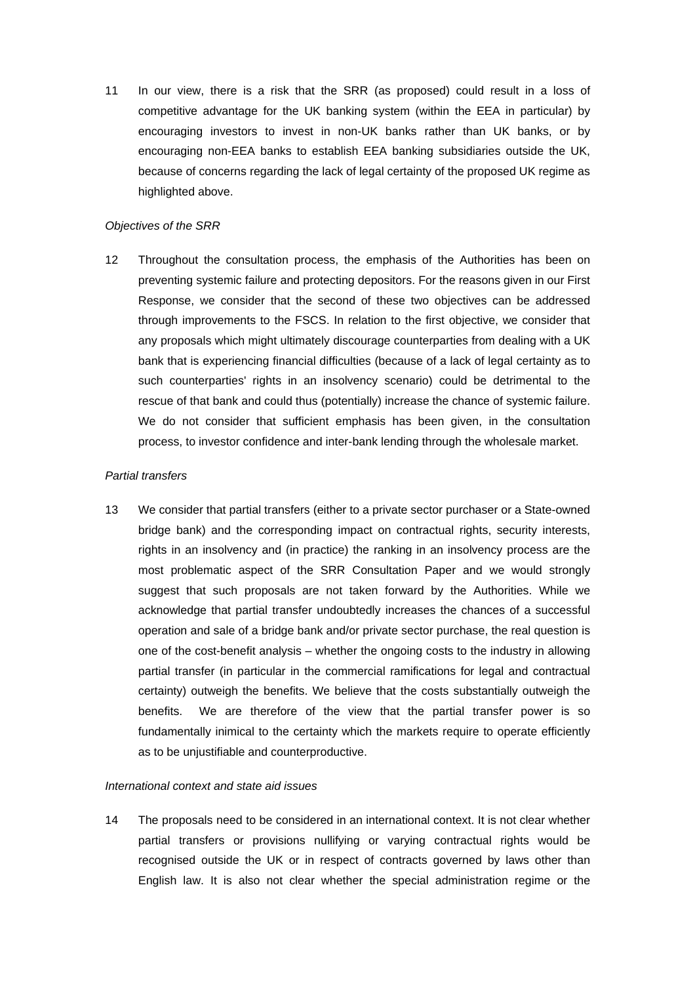11 In our view, there is a risk that the SRR (as proposed) could result in a loss of competitive advantage for the UK banking system (within the EEA in particular) by encouraging investors to invest in non-UK banks rather than UK banks, or by encouraging non-EEA banks to establish EEA banking subsidiaries outside the UK, because of concerns regarding the lack of legal certainty of the proposed UK regime as highlighted above.

### *Objectives of the SRR*

12 Throughout the consultation process, the emphasis of the Authorities has been on preventing systemic failure and protecting depositors. For the reasons given in our First Response, we consider that the second of these two objectives can be addressed through improvements to the FSCS. In relation to the first objective, we consider that any proposals which might ultimately discourage counterparties from dealing with a UK bank that is experiencing financial difficulties (because of a lack of legal certainty as to such counterparties' rights in an insolvency scenario) could be detrimental to the rescue of that bank and could thus (potentially) increase the chance of systemic failure. We do not consider that sufficient emphasis has been given, in the consultation process, to investor confidence and inter-bank lending through the wholesale market.

### *Partial transfers*

13 We consider that partial transfers (either to a private sector purchaser or a State-owned bridge bank) and the corresponding impact on contractual rights, security interests, rights in an insolvency and (in practice) the ranking in an insolvency process are the most problematic aspect of the SRR Consultation Paper and we would strongly suggest that such proposals are not taken forward by the Authorities. While we acknowledge that partial transfer undoubtedly increases the chances of a successful operation and sale of a bridge bank and/or private sector purchase, the real question is one of the cost-benefit analysis – whether the ongoing costs to the industry in allowing partial transfer (in particular in the commercial ramifications for legal and contractual certainty) outweigh the benefits. We believe that the costs substantially outweigh the benefits. We are therefore of the view that the partial transfer power is so fundamentally inimical to the certainty which the markets require to operate efficiently as to be unjustifiable and counterproductive.

### *International context and state aid issues*

14 The proposals need to be considered in an international context. It is not clear whether partial transfers or provisions nullifying or varying contractual rights would be recognised outside the UK or in respect of contracts governed by laws other than English law. It is also not clear whether the special administration regime or the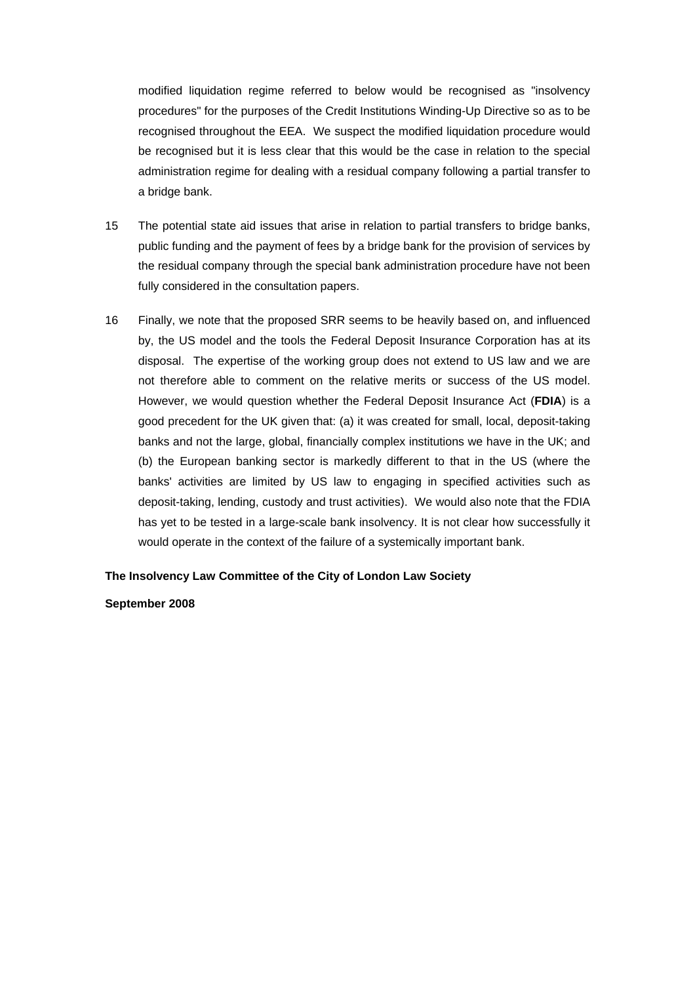modified liquidation regime referred to below would be recognised as "insolvency procedures" for the purposes of the Credit Institutions Winding-Up Directive so as to be recognised throughout the EEA. We suspect the modified liquidation procedure would be recognised but it is less clear that this would be the case in relation to the special administration regime for dealing with a residual company following a partial transfer to a bridge bank.

- 15 The potential state aid issues that arise in relation to partial transfers to bridge banks, public funding and the payment of fees by a bridge bank for the provision of services by the residual company through the special bank administration procedure have not been fully considered in the consultation papers.
- 16 Finally, we note that the proposed SRR seems to be heavily based on, and influenced by, the US model and the tools the Federal Deposit Insurance Corporation has at its disposal. The expertise of the working group does not extend to US law and we are not therefore able to comment on the relative merits or success of the US model. However, we would question whether the Federal Deposit Insurance Act (**FDIA**) is a good precedent for the UK given that: (a) it was created for small, local, deposit-taking banks and not the large, global, financially complex institutions we have in the UK; and (b) the European banking sector is markedly different to that in the US (where the banks' activities are limited by US law to engaging in specified activities such as deposit-taking, lending, custody and trust activities). We would also note that the FDIA has yet to be tested in a large-scale bank insolvency. It is not clear how successfully it would operate in the context of the failure of a systemically important bank.

**The Insolvency Law Committee of the City of London Law Society** 

**September 2008**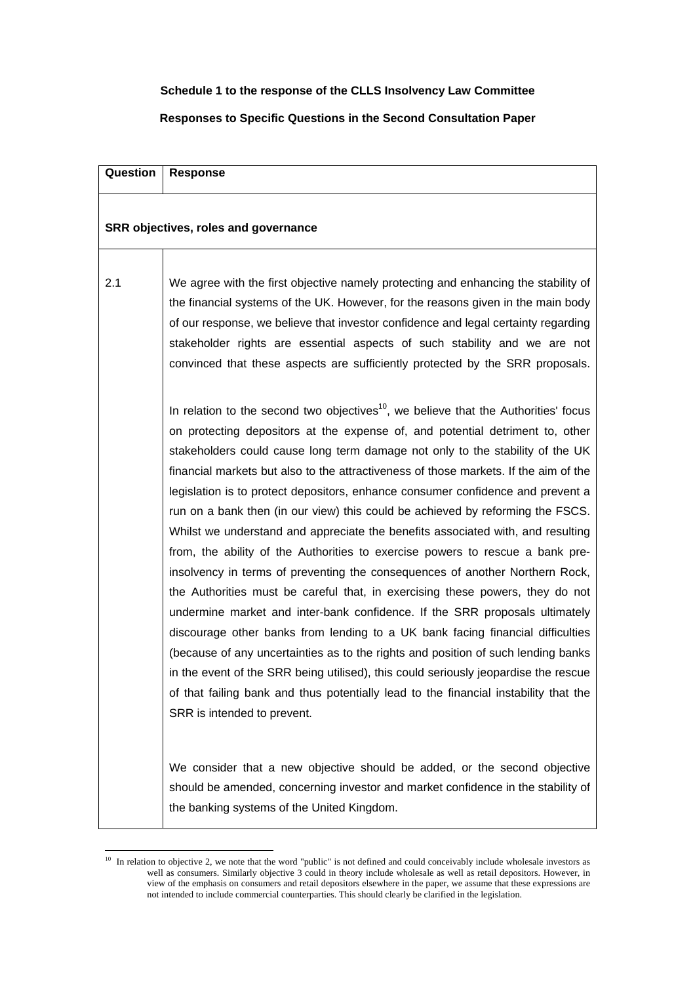# **Schedule 1 to the response of the CLLS Insolvency Law Committee**

# **Responses to Specific Questions in the Second Consultation Paper**

| Question | <b>Response</b>                                                                                                                                                                                                                                                                                                                                                                                                                                                                                                                                                                                                                                                                                                                                                                                                                                                                                                                                                                                                                                                                                                                                                                                                                                                                                                                         |
|----------|-----------------------------------------------------------------------------------------------------------------------------------------------------------------------------------------------------------------------------------------------------------------------------------------------------------------------------------------------------------------------------------------------------------------------------------------------------------------------------------------------------------------------------------------------------------------------------------------------------------------------------------------------------------------------------------------------------------------------------------------------------------------------------------------------------------------------------------------------------------------------------------------------------------------------------------------------------------------------------------------------------------------------------------------------------------------------------------------------------------------------------------------------------------------------------------------------------------------------------------------------------------------------------------------------------------------------------------------|
|          | SRR objectives, roles and governance                                                                                                                                                                                                                                                                                                                                                                                                                                                                                                                                                                                                                                                                                                                                                                                                                                                                                                                                                                                                                                                                                                                                                                                                                                                                                                    |
| 2.1      | We agree with the first objective namely protecting and enhancing the stability of<br>the financial systems of the UK. However, for the reasons given in the main body<br>of our response, we believe that investor confidence and legal certainty regarding<br>stakeholder rights are essential aspects of such stability and we are not<br>convinced that these aspects are sufficiently protected by the SRR proposals.                                                                                                                                                                                                                                                                                                                                                                                                                                                                                                                                                                                                                                                                                                                                                                                                                                                                                                              |
|          | In relation to the second two objectives <sup>10</sup> , we believe that the Authorities' focus<br>on protecting depositors at the expense of, and potential detriment to, other<br>stakeholders could cause long term damage not only to the stability of the UK<br>financial markets but also to the attractiveness of those markets. If the aim of the<br>legislation is to protect depositors, enhance consumer confidence and prevent a<br>run on a bank then (in our view) this could be achieved by reforming the FSCS.<br>Whilst we understand and appreciate the benefits associated with, and resulting<br>from, the ability of the Authorities to exercise powers to rescue a bank pre-<br>insolvency in terms of preventing the consequences of another Northern Rock,<br>the Authorities must be careful that, in exercising these powers, they do not<br>undermine market and inter-bank confidence. If the SRR proposals ultimately<br>discourage other banks from lending to a UK bank facing financial difficulties<br>(because of any uncertainties as to the rights and position of such lending banks<br>in the event of the SRR being utilised), this could seriously jeopardise the rescue<br>of that failing bank and thus potentially lead to the financial instability that the<br>SRR is intended to prevent. |
|          | We consider that a new objective should be added, or the second objective<br>should be amended, concerning investor and market confidence in the stability of<br>the banking systems of the United Kingdom.                                                                                                                                                                                                                                                                                                                                                                                                                                                                                                                                                                                                                                                                                                                                                                                                                                                                                                                                                                                                                                                                                                                             |

<span id="page-31-0"></span> $10$  In relation to objective 2, we note that the word "public" is not defined and could conceivably include wholesale investors as well as consumers. Similarly objective 3 could in theory include wholesale as well as retail depositors. However, in view of the emphasis on consumers and retail depositors elsewhere in the paper, we assume that these expressions are not intended to include commercial counterparties. This should clearly be clarified in the legislation.

 $\overline{a}$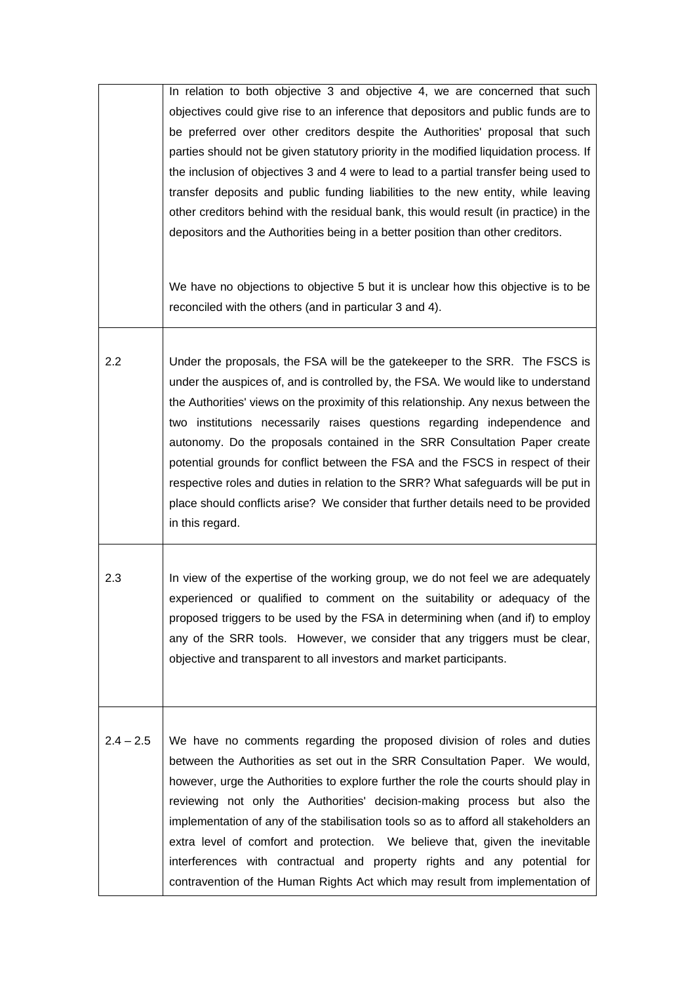| $2.4 - 2.5$ | We have no comments regarding the proposed division of roles and duties<br>between the Authorities as set out in the SRR Consultation Paper. We would,<br>however, urge the Authorities to explore further the role the courts should play in<br>reviewing not only the Authorities' decision-making process but also the<br>implementation of any of the stabilisation tools so as to afford all stakeholders an<br>extra level of comfort and protection. We believe that, given the inevitable<br>interferences with contractual and property rights and any potential for<br>contravention of the Human Rights Act which may result from implementation of                                                                                                                                                                                         |
|-------------|--------------------------------------------------------------------------------------------------------------------------------------------------------------------------------------------------------------------------------------------------------------------------------------------------------------------------------------------------------------------------------------------------------------------------------------------------------------------------------------------------------------------------------------------------------------------------------------------------------------------------------------------------------------------------------------------------------------------------------------------------------------------------------------------------------------------------------------------------------|
| 2.3         | In view of the expertise of the working group, we do not feel we are adequately<br>experienced or qualified to comment on the suitability or adequacy of the<br>proposed triggers to be used by the FSA in determining when (and if) to employ<br>any of the SRR tools. However, we consider that any triggers must be clear,<br>objective and transparent to all investors and market participants.                                                                                                                                                                                                                                                                                                                                                                                                                                                   |
| 2.2         | Under the proposals, the FSA will be the gatekeeper to the SRR. The FSCS is<br>under the auspices of, and is controlled by, the FSA. We would like to understand<br>the Authorities' views on the proximity of this relationship. Any nexus between the<br>two institutions necessarily raises questions regarding independence and<br>autonomy. Do the proposals contained in the SRR Consultation Paper create<br>potential grounds for conflict between the FSA and the FSCS in respect of their<br>respective roles and duties in relation to the SRR? What safeguards will be put in<br>place should conflicts arise? We consider that further details need to be provided<br>in this regard.                                                                                                                                                     |
|             | In relation to both objective 3 and objective 4, we are concerned that such<br>objectives could give rise to an inference that depositors and public funds are to<br>be preferred over other creditors despite the Authorities' proposal that such<br>parties should not be given statutory priority in the modified liquidation process. If<br>the inclusion of objectives 3 and 4 were to lead to a partial transfer being used to<br>transfer deposits and public funding liabilities to the new entity, while leaving<br>other creditors behind with the residual bank, this would result (in practice) in the<br>depositors and the Authorities being in a better position than other creditors.<br>We have no objections to objective 5 but it is unclear how this objective is to be<br>reconciled with the others (and in particular 3 and 4). |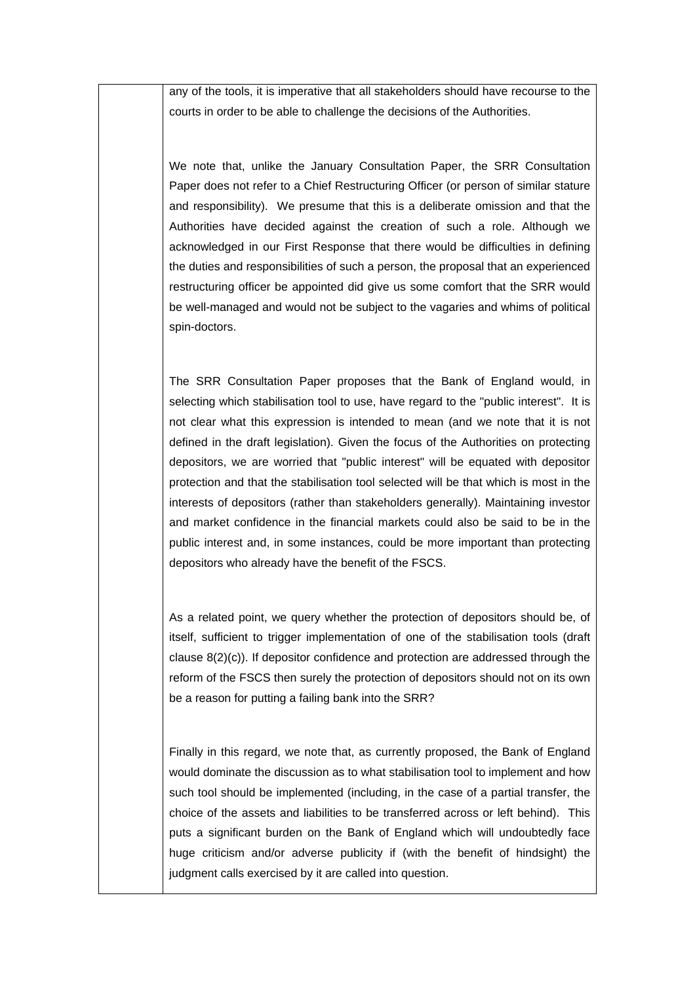any of the tools, it is imperative that all stakeholders should have recourse to the courts in order to be able to challenge the decisions of the Authorities.

We note that, unlike the January Consultation Paper, the SRR Consultation Paper does not refer to a Chief Restructuring Officer (or person of similar stature and responsibility). We presume that this is a deliberate omission and that the Authorities have decided against the creation of such a role. Although we acknowledged in our First Response that there would be difficulties in defining the duties and responsibilities of such a person, the proposal that an experienced restructuring officer be appointed did give us some comfort that the SRR would be well-managed and would not be subject to the vagaries and whims of political spin-doctors.

The SRR Consultation Paper proposes that the Bank of England would, in selecting which stabilisation tool to use, have regard to the "public interest". It is not clear what this expression is intended to mean (and we note that it is not defined in the draft legislation). Given the focus of the Authorities on protecting depositors, we are worried that "public interest" will be equated with depositor protection and that the stabilisation tool selected will be that which is most in the interests of depositors (rather than stakeholders generally). Maintaining investor and market confidence in the financial markets could also be said to be in the public interest and, in some instances, could be more important than protecting depositors who already have the benefit of the FSCS.

As a related point, we query whether the protection of depositors should be, of itself, sufficient to trigger implementation of one of the stabilisation tools (draft clause 8(2)(c)). If depositor confidence and protection are addressed through the reform of the FSCS then surely the protection of depositors should not on its own be a reason for putting a failing bank into the SRR?

Finally in this regard, we note that, as currently proposed, the Bank of England would dominate the discussion as to what stabilisation tool to implement and how such tool should be implemented (including, in the case of a partial transfer, the choice of the assets and liabilities to be transferred across or left behind). This puts a significant burden on the Bank of England which will undoubtedly face huge criticism and/or adverse publicity if (with the benefit of hindsight) the judgment calls exercised by it are called into question.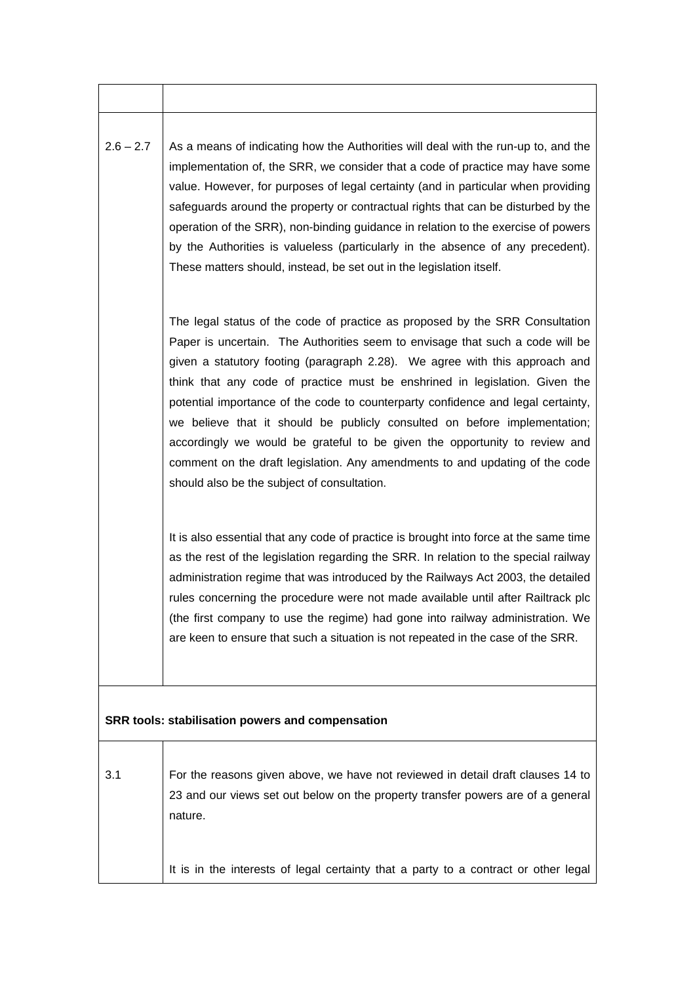| $2.6 - 2.7$ | As a means of indicating how the Authorities will deal with the run-up to, and the |
|-------------|------------------------------------------------------------------------------------|
|             | implementation of, the SRR, we consider that a code of practice may have some      |
|             | value. However, for purposes of legal certainty (and in particular when providing  |
|             | safeguards around the property or contractual rights that can be disturbed by the  |
|             | operation of the SRR), non-binding guidance in relation to the exercise of powers  |
|             | by the Authorities is valueless (particularly in the absence of any precedent).    |
|             | These matters should, instead, be set out in the legislation itself.               |

The legal status of the code of practice as proposed by the SRR Consultation Paper is uncertain. The Authorities seem to envisage that such a code will be given a statutory footing (paragraph 2.28). We agree with this approach and think that any code of practice must be enshrined in legislation. Given the potential importance of the code to counterparty confidence and legal certainty, we believe that it should be publicly consulted on before implementation; accordingly we would be grateful to be given the opportunity to review and comment on the draft legislation. Any amendments to and updating of the code should also be the subject of consultation.

It is also essential that any code of practice is brought into force at the same time as the rest of the legislation regarding the SRR. In relation to the special railway administration regime that was introduced by the Railways Act 2003, the detailed rules concerning the procedure were not made available until after Railtrack plc (the first company to use the regime) had gone into railway administration. We are keen to ensure that such a situation is not repeated in the case of the SRR.

## **SRR tools: stabilisation powers and compensation**

| $-3.1$ | For the reasons given above, we have not reviewed in detail draft clauses 14 to     |
|--------|-------------------------------------------------------------------------------------|
|        | 23 and our views set out below on the property transfer powers are of a general     |
|        | nature.                                                                             |
|        |                                                                                     |
|        |                                                                                     |
|        | It is in the interests of legal certainty that a party to a contract or other legal |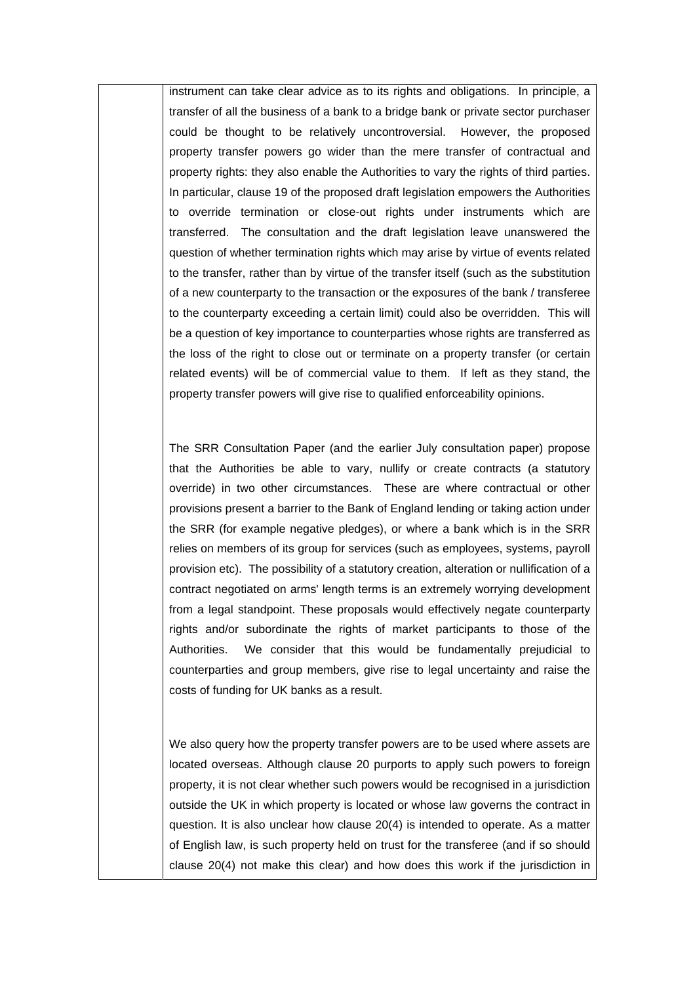instrument can take clear advice as to its rights and obligations. In principle, a transfer of all the business of a bank to a bridge bank or private sector purchaser could be thought to be relatively uncontroversial. However, the proposed property transfer powers go wider than the mere transfer of contractual and property rights: they also enable the Authorities to vary the rights of third parties. In particular, clause 19 of the proposed draft legislation empowers the Authorities to override termination or close-out rights under instruments which are transferred. The consultation and the draft legislation leave unanswered the question of whether termination rights which may arise by virtue of events related to the transfer, rather than by virtue of the transfer itself (such as the substitution of a new counterparty to the transaction or the exposures of the bank / transferee to the counterparty exceeding a certain limit) could also be overridden. This will be a question of key importance to counterparties whose rights are transferred as the loss of the right to close out or terminate on a property transfer (or certain related events) will be of commercial value to them. If left as they stand, the property transfer powers will give rise to qualified enforceability opinions.

The SRR Consultation Paper (and the earlier July consultation paper) propose that the Authorities be able to vary, nullify or create contracts (a statutory override) in two other circumstances. These are where contractual or other provisions present a barrier to the Bank of England lending or taking action under the SRR (for example negative pledges), or where a bank which is in the SRR relies on members of its group for services (such as employees, systems, payroll provision etc). The possibility of a statutory creation, alteration or nullification of a contract negotiated on arms' length terms is an extremely worrying development from a legal standpoint. These proposals would effectively negate counterparty rights and/or subordinate the rights of market participants to those of the Authorities. We consider that this would be fundamentally prejudicial to counterparties and group members, give rise to legal uncertainty and raise the costs of funding for UK banks as a result.

We also query how the property transfer powers are to be used where assets are located overseas. Although clause 20 purports to apply such powers to foreign property, it is not clear whether such powers would be recognised in a jurisdiction outside the UK in which property is located or whose law governs the contract in question. It is also unclear how clause 20(4) is intended to operate. As a matter of English law, is such property held on trust for the transferee (and if so should clause 20(4) not make this clear) and how does this work if the jurisdiction in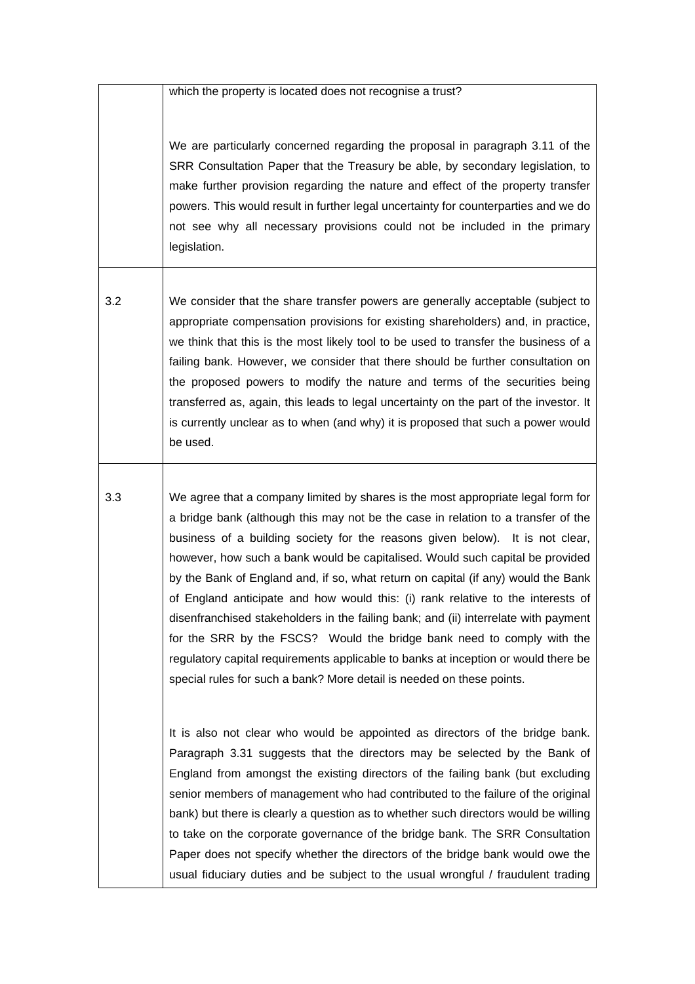which the property is located does not recognise a trust?

We are particularly concerned regarding the proposal in paragraph 3.11 of the SRR Consultation Paper that the Treasury be able, by secondary legislation, to make further provision regarding the nature and effect of the property transfer powers. This would result in further legal uncertainty for counterparties and we do not see why all necessary provisions could not be included in the primary legislation.

3.2 We consider that the share transfer powers are generally acceptable (subject to appropriate compensation provisions for existing shareholders) and, in practice, we think that this is the most likely tool to be used to transfer the business of a failing bank. However, we consider that there should be further consultation on the proposed powers to modify the nature and terms of the securities being transferred as, again, this leads to legal uncertainty on the part of the investor. It is currently unclear as to when (and why) it is proposed that such a power would be used.

3.3 We agree that a company limited by shares is the most appropriate legal form for a bridge bank (although this may not be the case in relation to a transfer of the business of a building society for the reasons given below). It is not clear, however, how such a bank would be capitalised. Would such capital be provided by the Bank of England and, if so, what return on capital (if any) would the Bank of England anticipate and how would this: (i) rank relative to the interests of disenfranchised stakeholders in the failing bank; and (ii) interrelate with payment for the SRR by the FSCS? Would the bridge bank need to comply with the regulatory capital requirements applicable to banks at inception or would there be special rules for such a bank? More detail is needed on these points.

> It is also not clear who would be appointed as directors of the bridge bank. Paragraph 3.31 suggests that the directors may be selected by the Bank of England from amongst the existing directors of the failing bank (but excluding senior members of management who had contributed to the failure of the original bank) but there is clearly a question as to whether such directors would be willing to take on the corporate governance of the bridge bank. The SRR Consultation Paper does not specify whether the directors of the bridge bank would owe the usual fiduciary duties and be subject to the usual wrongful / fraudulent trading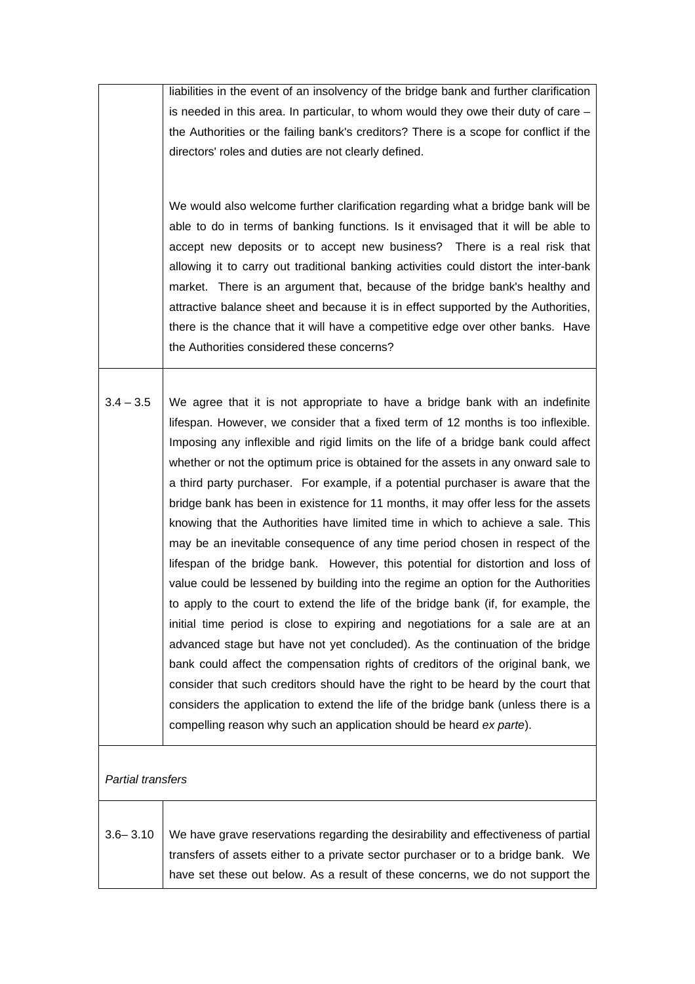|                   | liabilities in the event of an insolvency of the bridge bank and further clarification                                                                                                                                                                                                                                                                                                                                                                                                                                                                                                                                                                                                                                                                                                                                                                                                                                                                                                                                                                                                                                                                                                                                                                                                                                                                                                                                                                       |
|-------------------|--------------------------------------------------------------------------------------------------------------------------------------------------------------------------------------------------------------------------------------------------------------------------------------------------------------------------------------------------------------------------------------------------------------------------------------------------------------------------------------------------------------------------------------------------------------------------------------------------------------------------------------------------------------------------------------------------------------------------------------------------------------------------------------------------------------------------------------------------------------------------------------------------------------------------------------------------------------------------------------------------------------------------------------------------------------------------------------------------------------------------------------------------------------------------------------------------------------------------------------------------------------------------------------------------------------------------------------------------------------------------------------------------------------------------------------------------------------|
|                   | is needed in this area. In particular, to whom would they owe their duty of care $-$                                                                                                                                                                                                                                                                                                                                                                                                                                                                                                                                                                                                                                                                                                                                                                                                                                                                                                                                                                                                                                                                                                                                                                                                                                                                                                                                                                         |
|                   | the Authorities or the failing bank's creditors? There is a scope for conflict if the                                                                                                                                                                                                                                                                                                                                                                                                                                                                                                                                                                                                                                                                                                                                                                                                                                                                                                                                                                                                                                                                                                                                                                                                                                                                                                                                                                        |
|                   | directors' roles and duties are not clearly defined.                                                                                                                                                                                                                                                                                                                                                                                                                                                                                                                                                                                                                                                                                                                                                                                                                                                                                                                                                                                                                                                                                                                                                                                                                                                                                                                                                                                                         |
|                   |                                                                                                                                                                                                                                                                                                                                                                                                                                                                                                                                                                                                                                                                                                                                                                                                                                                                                                                                                                                                                                                                                                                                                                                                                                                                                                                                                                                                                                                              |
|                   | We would also welcome further clarification regarding what a bridge bank will be<br>able to do in terms of banking functions. Is it envisaged that it will be able to<br>accept new deposits or to accept new business? There is a real risk that<br>allowing it to carry out traditional banking activities could distort the inter-bank<br>market. There is an argument that, because of the bridge bank's healthy and<br>attractive balance sheet and because it is in effect supported by the Authorities,<br>there is the chance that it will have a competitive edge over other banks. Have<br>the Authorities considered these concerns?                                                                                                                                                                                                                                                                                                                                                                                                                                                                                                                                                                                                                                                                                                                                                                                                              |
| $3.4 - 3.5$       | We agree that it is not appropriate to have a bridge bank with an indefinite<br>lifespan. However, we consider that a fixed term of 12 months is too inflexible.<br>Imposing any inflexible and rigid limits on the life of a bridge bank could affect<br>whether or not the optimum price is obtained for the assets in any onward sale to<br>a third party purchaser. For example, if a potential purchaser is aware that the<br>bridge bank has been in existence for 11 months, it may offer less for the assets<br>knowing that the Authorities have limited time in which to achieve a sale. This<br>may be an inevitable consequence of any time period chosen in respect of the<br>lifespan of the bridge bank. However, this potential for distortion and loss of<br>value could be lessened by building into the regime an option for the Authorities<br>to apply to the court to extend the life of the bridge bank (if, for example, the<br>initial time period is close to expiring and negotiations for a sale are at an<br>advanced stage but have not yet concluded). As the continuation of the bridge<br>bank could affect the compensation rights of creditors of the original bank, we<br>consider that such creditors should have the right to be heard by the court that<br>considers the application to extend the life of the bridge bank (unless there is a<br>compelling reason why such an application should be heard ex parte). |
| Partial transfers |                                                                                                                                                                                                                                                                                                                                                                                                                                                                                                                                                                                                                                                                                                                                                                                                                                                                                                                                                                                                                                                                                                                                                                                                                                                                                                                                                                                                                                                              |
| $3.6 - 3.10$      | We have grave reservations regarding the desirability and effectiveness of partial<br>transfers of assets either to a private sector purchaser or to a bridge bank. We<br>have set these out below. As a result of these concerns, we do not support the                                                                                                                                                                                                                                                                                                                                                                                                                                                                                                                                                                                                                                                                                                                                                                                                                                                                                                                                                                                                                                                                                                                                                                                                     |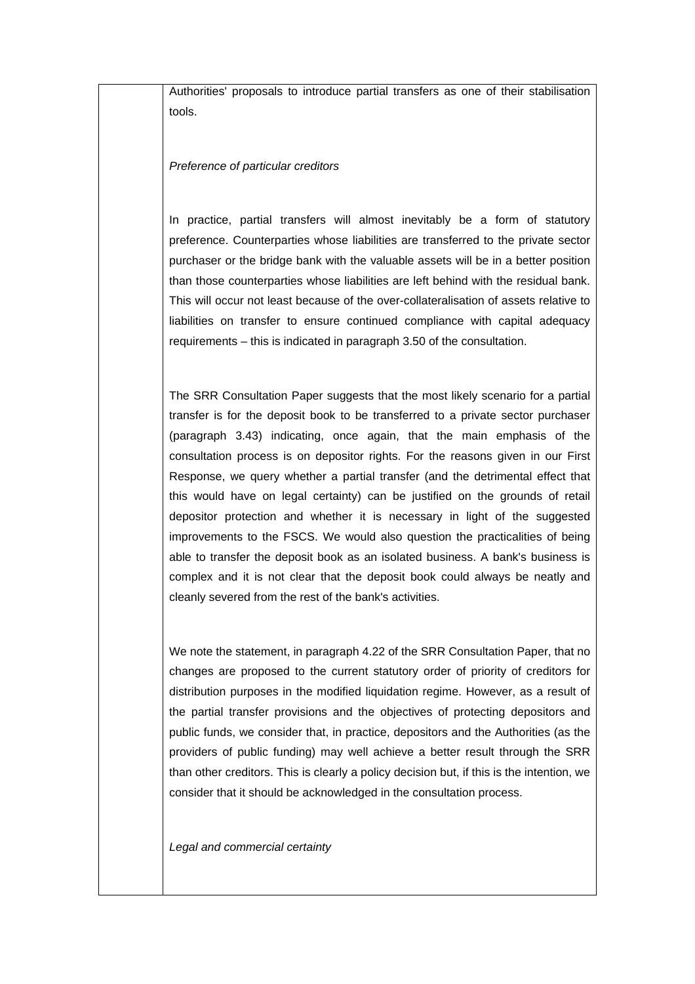Authorities' proposals to introduce partial transfers as one of their stabilisation tools.

## *Preference of particular creditors*

In practice, partial transfers will almost inevitably be a form of statutory preference. Counterparties whose liabilities are transferred to the private sector purchaser or the bridge bank with the valuable assets will be in a better position than those counterparties whose liabilities are left behind with the residual bank. This will occur not least because of the over-collateralisation of assets relative to liabilities on transfer to ensure continued compliance with capital adequacy requirements – this is indicated in paragraph 3.50 of the consultation.

The SRR Consultation Paper suggests that the most likely scenario for a partial transfer is for the deposit book to be transferred to a private sector purchaser (paragraph 3.43) indicating, once again, that the main emphasis of the consultation process is on depositor rights. For the reasons given in our First Response, we query whether a partial transfer (and the detrimental effect that this would have on legal certainty) can be justified on the grounds of retail depositor protection and whether it is necessary in light of the suggested improvements to the FSCS. We would also question the practicalities of being able to transfer the deposit book as an isolated business. A bank's business is complex and it is not clear that the deposit book could always be neatly and cleanly severed from the rest of the bank's activities.

We note the statement, in paragraph 4.22 of the SRR Consultation Paper, that no changes are proposed to the current statutory order of priority of creditors for distribution purposes in the modified liquidation regime. However, as a result of the partial transfer provisions and the objectives of protecting depositors and public funds, we consider that, in practice, depositors and the Authorities (as the providers of public funding) may well achieve a better result through the SRR than other creditors. This is clearly a policy decision but, if this is the intention, we consider that it should be acknowledged in the consultation process.

*Legal and commercial certainty*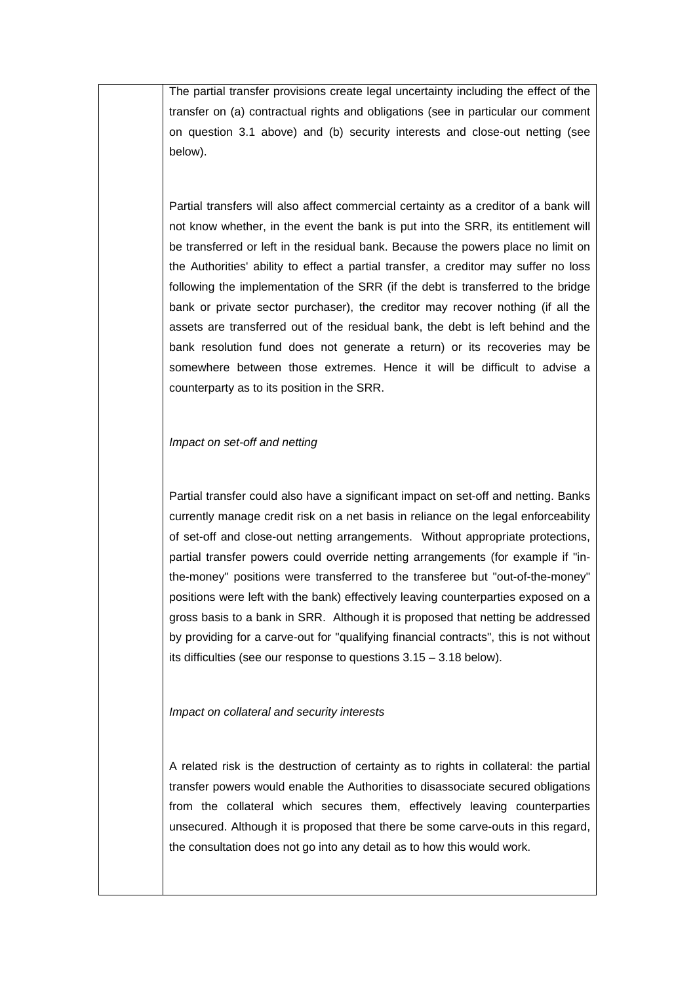The partial transfer provisions create legal uncertainty including the effect of the transfer on (a) contractual rights and obligations (see in particular our comment on question 3.1 above) and (b) security interests and close-out netting (see below).

Partial transfers will also affect commercial certainty as a creditor of a bank will not know whether, in the event the bank is put into the SRR, its entitlement will be transferred or left in the residual bank. Because the powers place no limit on the Authorities' ability to effect a partial transfer, a creditor may suffer no loss following the implementation of the SRR (if the debt is transferred to the bridge bank or private sector purchaser), the creditor may recover nothing (if all the assets are transferred out of the residual bank, the debt is left behind and the bank resolution fund does not generate a return) or its recoveries may be somewhere between those extremes. Hence it will be difficult to advise a counterparty as to its position in the SRR.

### *Impact on set-off and netting*

Partial transfer could also have a significant impact on set-off and netting. Banks currently manage credit risk on a net basis in reliance on the legal enforceability of set-off and close-out netting arrangements. Without appropriate protections, partial transfer powers could override netting arrangements (for example if "inthe-money" positions were transferred to the transferee but "out-of-the-money" positions were left with the bank) effectively leaving counterparties exposed on a gross basis to a bank in SRR. Although it is proposed that netting be addressed by providing for a carve-out for "qualifying financial contracts", this is not without its difficulties (see our response to questions 3.15 – 3.18 below).

### *Impact on collateral and security interests*

A related risk is the destruction of certainty as to rights in collateral: the partial transfer powers would enable the Authorities to disassociate secured obligations from the collateral which secures them, effectively leaving counterparties unsecured. Although it is proposed that there be some carve-outs in this regard, the consultation does not go into any detail as to how this would work.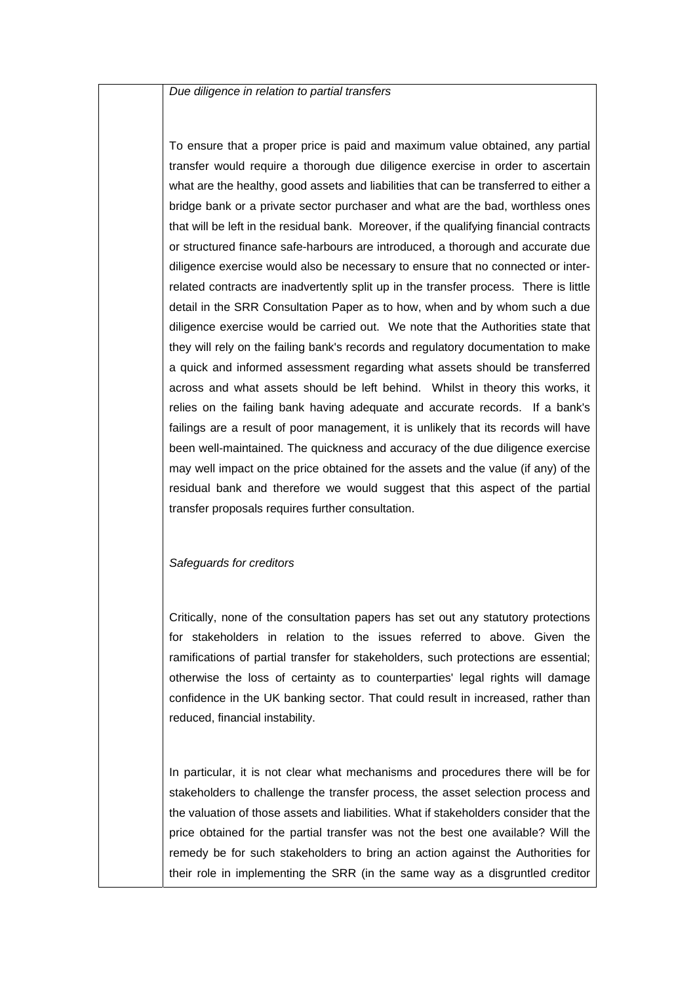*Due diligence in relation to partial transfers*

To ensure that a proper price is paid and maximum value obtained, any partial transfer would require a thorough due diligence exercise in order to ascertain what are the healthy, good assets and liabilities that can be transferred to either a bridge bank or a private sector purchaser and what are the bad, worthless ones that will be left in the residual bank. Moreover, if the qualifying financial contracts or structured finance safe-harbours are introduced, a thorough and accurate due diligence exercise would also be necessary to ensure that no connected or interrelated contracts are inadvertently split up in the transfer process. There is little detail in the SRR Consultation Paper as to how, when and by whom such a due diligence exercise would be carried out. We note that the Authorities state that they will rely on the failing bank's records and regulatory documentation to make a quick and informed assessment regarding what assets should be transferred across and what assets should be left behind. Whilst in theory this works, it relies on the failing bank having adequate and accurate records. If a bank's failings are a result of poor management, it is unlikely that its records will have been well-maintained. The quickness and accuracy of the due diligence exercise may well impact on the price obtained for the assets and the value (if any) of the residual bank and therefore we would suggest that this aspect of the partial transfer proposals requires further consultation.

#### *Safeguards for creditors*

Critically, none of the consultation papers has set out any statutory protections for stakeholders in relation to the issues referred to above. Given the ramifications of partial transfer for stakeholders, such protections are essential; otherwise the loss of certainty as to counterparties' legal rights will damage confidence in the UK banking sector. That could result in increased, rather than reduced, financial instability.

In particular, it is not clear what mechanisms and procedures there will be for stakeholders to challenge the transfer process, the asset selection process and the valuation of those assets and liabilities. What if stakeholders consider that the price obtained for the partial transfer was not the best one available? Will the remedy be for such stakeholders to bring an action against the Authorities for their role in implementing the SRR (in the same way as a disgruntled creditor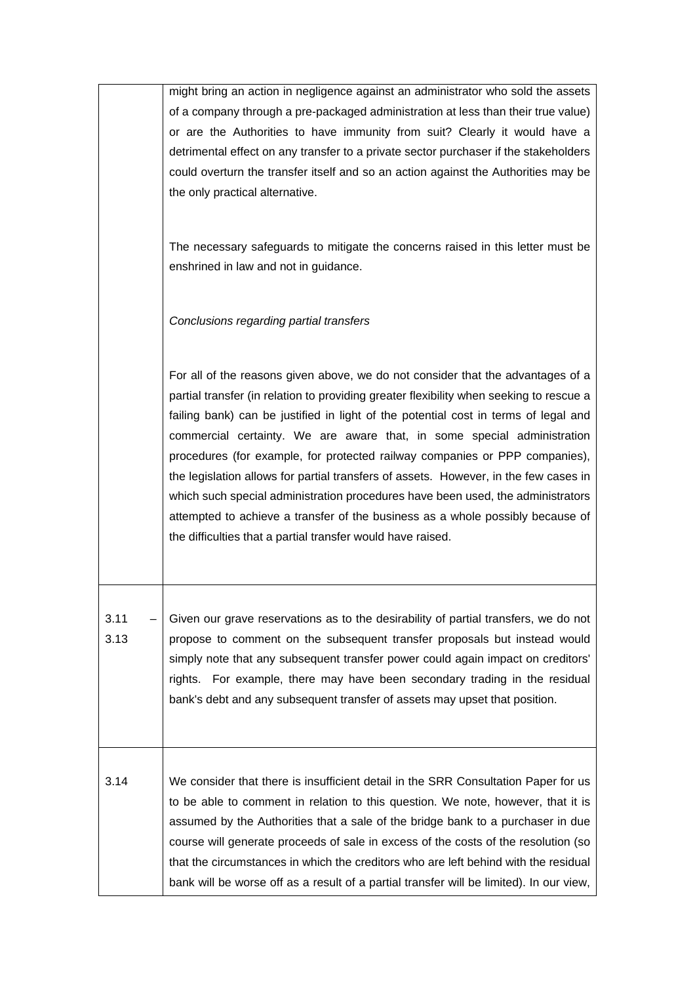|              | might bring an action in negligence against an administrator who sold the assets                                                                                                                                                                                                                                                                                                                                                                                                                                                                                                                                                                                                                                                                        |
|--------------|---------------------------------------------------------------------------------------------------------------------------------------------------------------------------------------------------------------------------------------------------------------------------------------------------------------------------------------------------------------------------------------------------------------------------------------------------------------------------------------------------------------------------------------------------------------------------------------------------------------------------------------------------------------------------------------------------------------------------------------------------------|
|              | of a company through a pre-packaged administration at less than their true value)<br>or are the Authorities to have immunity from suit? Clearly it would have a<br>detrimental effect on any transfer to a private sector purchaser if the stakeholders                                                                                                                                                                                                                                                                                                                                                                                                                                                                                                 |
|              | could overturn the transfer itself and so an action against the Authorities may be<br>the only practical alternative.                                                                                                                                                                                                                                                                                                                                                                                                                                                                                                                                                                                                                                   |
|              | The necessary safeguards to mitigate the concerns raised in this letter must be<br>enshrined in law and not in guidance.                                                                                                                                                                                                                                                                                                                                                                                                                                                                                                                                                                                                                                |
|              | Conclusions regarding partial transfers                                                                                                                                                                                                                                                                                                                                                                                                                                                                                                                                                                                                                                                                                                                 |
|              | For all of the reasons given above, we do not consider that the advantages of a<br>partial transfer (in relation to providing greater flexibility when seeking to rescue a<br>failing bank) can be justified in light of the potential cost in terms of legal and<br>commercial certainty. We are aware that, in some special administration<br>procedures (for example, for protected railway companies or PPP companies),<br>the legislation allows for partial transfers of assets. However, in the few cases in<br>which such special administration procedures have been used, the administrators<br>attempted to achieve a transfer of the business as a whole possibly because of<br>the difficulties that a partial transfer would have raised. |
| 3.11<br>3.13 | Given our grave reservations as to the desirability of partial transfers, we do not<br>propose to comment on the subsequent transfer proposals but instead would<br>simply note that any subsequent transfer power could again impact on creditors'<br>rights. For example, there may have been secondary trading in the residual<br>bank's debt and any subsequent transfer of assets may upset that position.                                                                                                                                                                                                                                                                                                                                         |
| 3.14         | We consider that there is insufficient detail in the SRR Consultation Paper for us<br>to be able to comment in relation to this question. We note, however, that it is<br>assumed by the Authorities that a sale of the bridge bank to a purchaser in due<br>course will generate proceeds of sale in excess of the costs of the resolution (so<br>that the circumstances in which the creditors who are left behind with the residual<br>bank will be worse off as a result of a partial transfer will be limited). In our view,                                                                                                                                                                                                                       |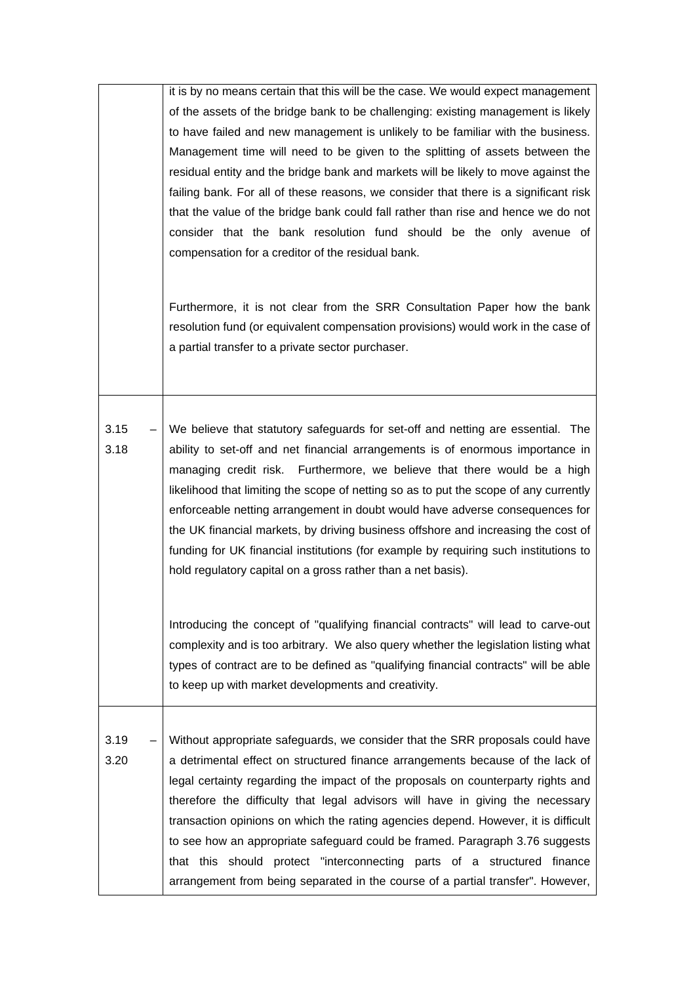|              | it is by no means certain that this will be the case. We would expect management<br>of the assets of the bridge bank to be challenging: existing management is likely<br>to have failed and new management is unlikely to be familiar with the business.<br>Management time will need to be given to the splitting of assets between the                                                                                                                                                                                                                                                                                                                                  |
|--------------|---------------------------------------------------------------------------------------------------------------------------------------------------------------------------------------------------------------------------------------------------------------------------------------------------------------------------------------------------------------------------------------------------------------------------------------------------------------------------------------------------------------------------------------------------------------------------------------------------------------------------------------------------------------------------|
|              | residual entity and the bridge bank and markets will be likely to move against the<br>failing bank. For all of these reasons, we consider that there is a significant risk<br>that the value of the bridge bank could fall rather than rise and hence we do not<br>consider that the bank resolution fund should be the only avenue of<br>compensation for a creditor of the residual bank.                                                                                                                                                                                                                                                                               |
|              | Furthermore, it is not clear from the SRR Consultation Paper how the bank<br>resolution fund (or equivalent compensation provisions) would work in the case of<br>a partial transfer to a private sector purchaser.                                                                                                                                                                                                                                                                                                                                                                                                                                                       |
| 3.15<br>3.18 | We believe that statutory safeguards for set-off and netting are essential. The<br>ability to set-off and net financial arrangements is of enormous importance in<br>managing credit risk. Furthermore, we believe that there would be a high<br>likelihood that limiting the scope of netting so as to put the scope of any currently<br>enforceable netting arrangement in doubt would have adverse consequences for<br>the UK financial markets, by driving business offshore and increasing the cost of<br>funding for UK financial institutions (for example by requiring such institutions to<br>hold regulatory capital on a gross rather than a net basis).       |
|              | Introducing the concept of "qualifying financial contracts" will lead to carve-out<br>complexity and is too arbitrary. We also query whether the legislation listing what<br>types of contract are to be defined as "qualifying financial contracts" will be able<br>to keep up with market developments and creativity.                                                                                                                                                                                                                                                                                                                                                  |
| 3.19<br>3.20 | Without appropriate safeguards, we consider that the SRR proposals could have<br>a detrimental effect on structured finance arrangements because of the lack of<br>legal certainty regarding the impact of the proposals on counterparty rights and<br>therefore the difficulty that legal advisors will have in giving the necessary<br>transaction opinions on which the rating agencies depend. However, it is difficult<br>to see how an appropriate safeguard could be framed. Paragraph 3.76 suggests<br>that this should protect "interconnecting parts of a structured finance<br>arrangement from being separated in the course of a partial transfer". However, |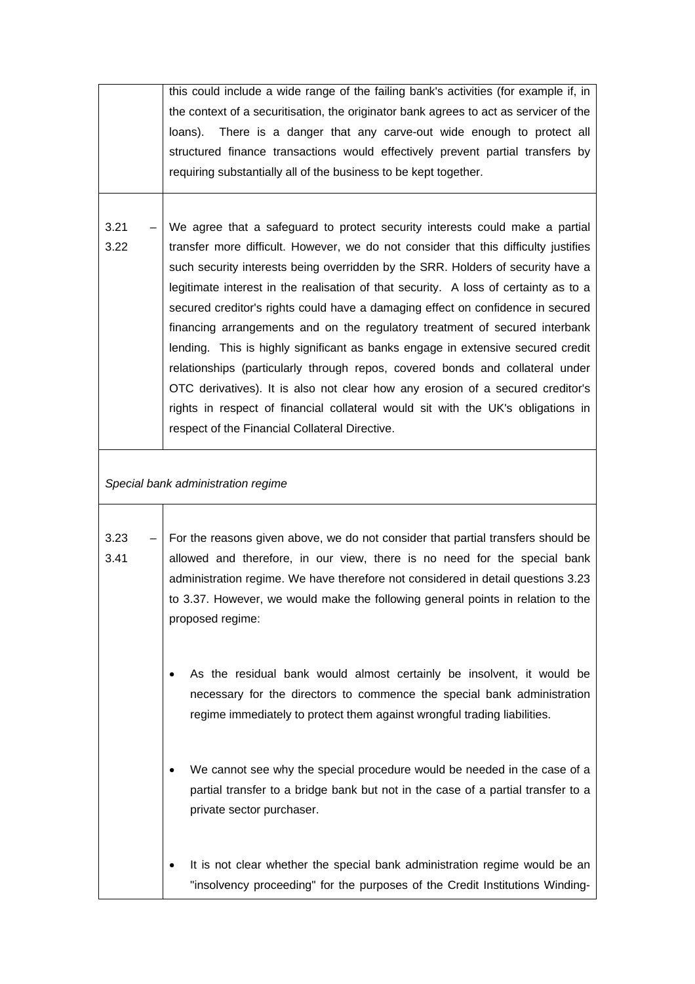|      | this could include a wide range of the failing bank's activities (for example if, in  |
|------|---------------------------------------------------------------------------------------|
|      | the context of a securitisation, the originator bank agrees to act as servicer of the |
|      | There is a danger that any carve-out wide enough to protect all<br>loans).            |
|      | structured finance transactions would effectively prevent partial transfers by        |
|      | requiring substantially all of the business to be kept together.                      |
|      |                                                                                       |
|      |                                                                                       |
| 3.21 | We agree that a safeguard to protect security interests could make a partial          |
| 3.22 | transfer more difficult. However, we do not consider that this difficulty justifies   |
|      | such security interests being overridden by the SRR. Holders of security have a       |
|      | legitimate interest in the realisation of that security. A loss of certainty as to a  |
|      | secured creditor's rights could have a damaging effect on confidence in secured       |
|      | financing arrangements and on the regulatory treatment of secured interbank           |
|      | lending. This is highly significant as banks engage in extensive secured credit       |
|      | relationships (particularly through repos, covered bonds and collateral under         |
|      | OTC derivatives). It is also not clear how any erosion of a secured creditor's        |
|      | rights in respect of financial collateral would sit with the UK's obligations in      |
|      | respect of the Financial Collateral Directive.                                        |
|      |                                                                                       |
|      | Special bank administration regime                                                    |
|      |                                                                                       |
| 3.23 | For the reasons given above, we do not consider that partial transfers should be      |
| 3.41 | allowed and therefore, in our view, there is no need for the special bank             |
|      | administration regime. We have therefore not considered in detail questions 3.23      |
|      | to 3.37. However, we would make the following general points in relation to the       |
|      | proposed regime:                                                                      |
|      |                                                                                       |
|      |                                                                                       |
|      | As the residual bank would almost certainly be insolvent, it would be                 |
|      | necessary for the directors to commence the special bank administration               |
|      | regime immediately to protect them against wrongful trading liabilities.              |
|      |                                                                                       |
|      |                                                                                       |
|      | We cannot see why the special procedure would be needed in the case of a              |
|      | partial transfer to a bridge bank but not in the case of a partial transfer to a      |
|      | private sector purchaser.                                                             |
|      |                                                                                       |
|      |                                                                                       |
|      | It is not clear whether the special bank administration regime would be an            |
|      | "insolvency proceeding" for the purposes of the Credit Institutions Winding-          |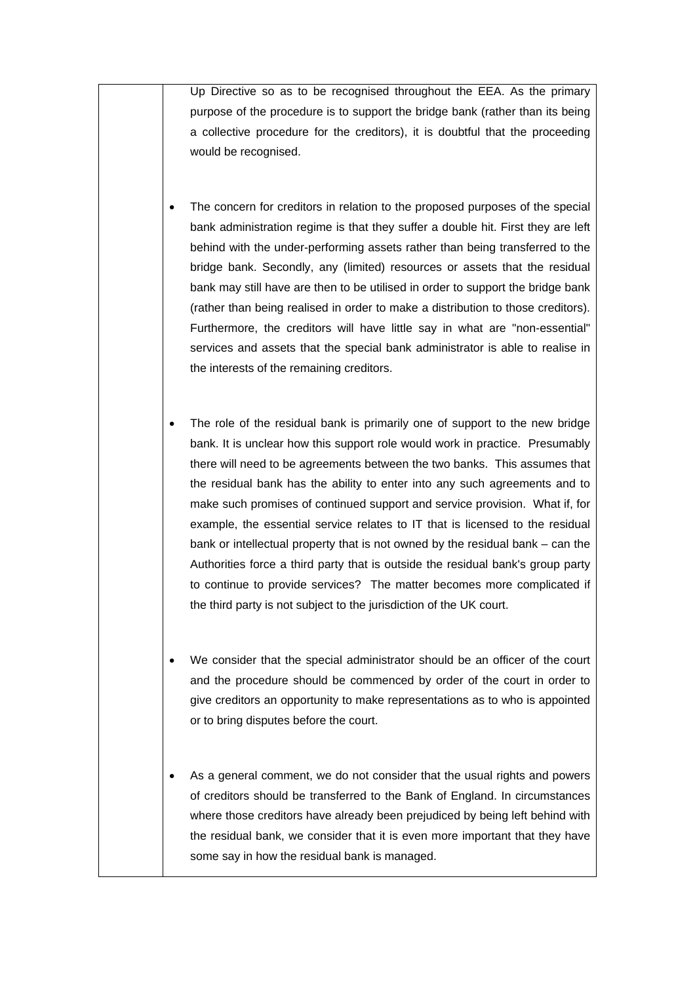Up Directive so as to be recognised throughout the EEA. As the primary purpose of the procedure is to support the bridge bank (rather than its being a collective procedure for the creditors), it is doubtful that the proceeding would be recognised.

- The concern for creditors in relation to the proposed purposes of the special bank administration regime is that they suffer a double hit. First they are left behind with the under-performing assets rather than being transferred to the bridge bank. Secondly, any (limited) resources or assets that the residual bank may still have are then to be utilised in order to support the bridge bank (rather than being realised in order to make a distribution to those creditors). Furthermore, the creditors will have little say in what are "non-essential" services and assets that the special bank administrator is able to realise in the interests of the remaining creditors.
- The role of the residual bank is primarily one of support to the new bridge bank. It is unclear how this support role would work in practice. Presumably there will need to be agreements between the two banks. This assumes that the residual bank has the ability to enter into any such agreements and to make such promises of continued support and service provision. What if, for example, the essential service relates to IT that is licensed to the residual bank or intellectual property that is not owned by the residual bank – can the Authorities force a third party that is outside the residual bank's group party to continue to provide services? The matter becomes more complicated if the third party is not subject to the jurisdiction of the UK court.
- We consider that the special administrator should be an officer of the court and the procedure should be commenced by order of the court in order to give creditors an opportunity to make representations as to who is appointed or to bring disputes before the court.
- As a general comment, we do not consider that the usual rights and powers of creditors should be transferred to the Bank of England. In circumstances where those creditors have already been prejudiced by being left behind with the residual bank, we consider that it is even more important that they have some say in how the residual bank is managed.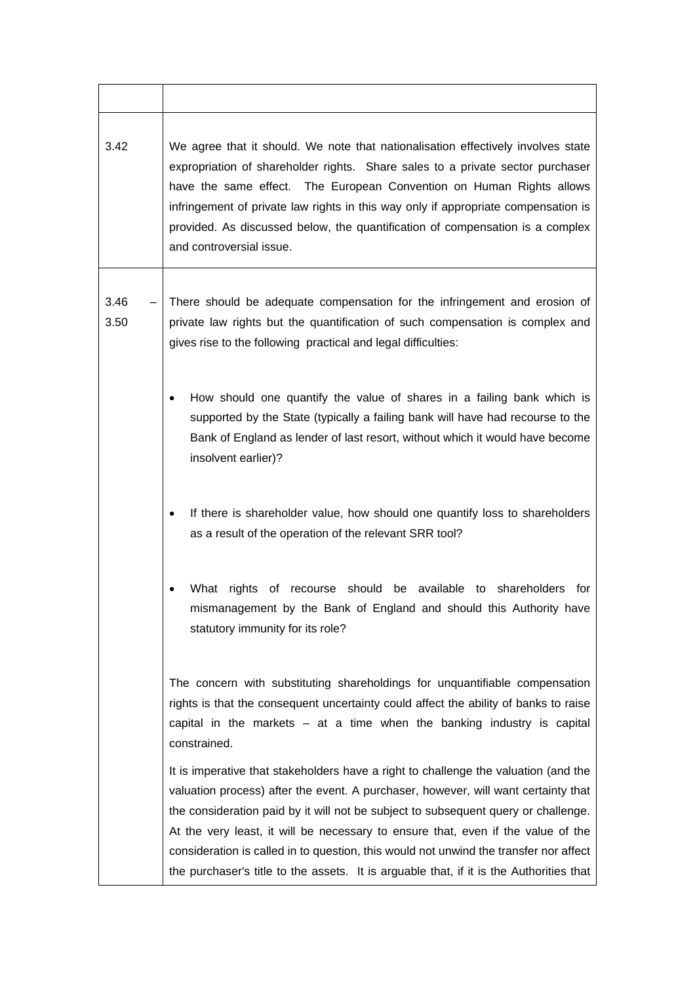| 3.42         | We agree that it should. We note that nationalisation effectively involves state<br>expropriation of shareholder rights. Share sales to a private sector purchaser<br>have the same effect. The European Convention on Human Rights allows<br>infringement of private law rights in this way only if appropriate compensation is<br>provided. As discussed below, the quantification of compensation is a complex<br>and controversial issue.                                                                                           |
|--------------|-----------------------------------------------------------------------------------------------------------------------------------------------------------------------------------------------------------------------------------------------------------------------------------------------------------------------------------------------------------------------------------------------------------------------------------------------------------------------------------------------------------------------------------------|
| 3.46<br>3.50 | There should be adequate compensation for the infringement and erosion of<br>private law rights but the quantification of such compensation is complex and<br>gives rise to the following practical and legal difficulties:                                                                                                                                                                                                                                                                                                             |
|              | How should one quantify the value of shares in a failing bank which is<br>٠<br>supported by the State (typically a failing bank will have had recourse to the<br>Bank of England as lender of last resort, without which it would have become<br>insolvent earlier)?                                                                                                                                                                                                                                                                    |
|              | If there is shareholder value, how should one quantify loss to shareholders<br>as a result of the operation of the relevant SRR tool?                                                                                                                                                                                                                                                                                                                                                                                                   |
|              | should be available to shareholders<br>What rights of recourse<br>for<br>mismanagement by the Bank of England and should this Authority have<br>statutory immunity for its role?                                                                                                                                                                                                                                                                                                                                                        |
|              | The concern with substituting shareholdings for unquantifiable compensation<br>rights is that the consequent uncertainty could affect the ability of banks to raise<br>capital in the markets $-$ at a time when the banking industry is capital<br>constrained.                                                                                                                                                                                                                                                                        |
|              | It is imperative that stakeholders have a right to challenge the valuation (and the<br>valuation process) after the event. A purchaser, however, will want certainty that<br>the consideration paid by it will not be subject to subsequent query or challenge.<br>At the very least, it will be necessary to ensure that, even if the value of the<br>consideration is called in to question, this would not unwind the transfer nor affect<br>the purchaser's title to the assets. It is arguable that, if it is the Authorities that |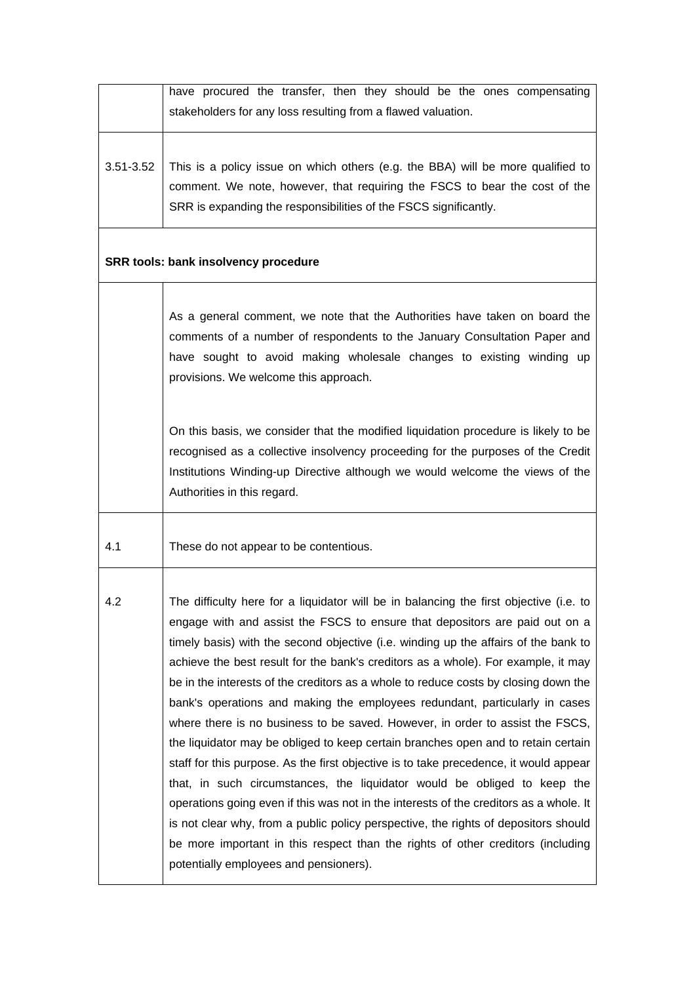|                                             | have procured the transfer, then they should be the ones compensating<br>stakeholders for any loss resulting from a flawed valuation.                                                                                                                                                                                                                                                                                                                                                                                                                                                                                                                                                                                                                                                                                                                                                                                                                                                                                                                                                                                                                                            |  |
|---------------------------------------------|----------------------------------------------------------------------------------------------------------------------------------------------------------------------------------------------------------------------------------------------------------------------------------------------------------------------------------------------------------------------------------------------------------------------------------------------------------------------------------------------------------------------------------------------------------------------------------------------------------------------------------------------------------------------------------------------------------------------------------------------------------------------------------------------------------------------------------------------------------------------------------------------------------------------------------------------------------------------------------------------------------------------------------------------------------------------------------------------------------------------------------------------------------------------------------|--|
| 3.51-3.52                                   | This is a policy issue on which others (e.g. the BBA) will be more qualified to<br>comment. We note, however, that requiring the FSCS to bear the cost of the<br>SRR is expanding the responsibilities of the FSCS significantly.                                                                                                                                                                                                                                                                                                                                                                                                                                                                                                                                                                                                                                                                                                                                                                                                                                                                                                                                                |  |
| <b>SRR tools: bank insolvency procedure</b> |                                                                                                                                                                                                                                                                                                                                                                                                                                                                                                                                                                                                                                                                                                                                                                                                                                                                                                                                                                                                                                                                                                                                                                                  |  |
|                                             | As a general comment, we note that the Authorities have taken on board the<br>comments of a number of respondents to the January Consultation Paper and<br>have sought to avoid making wholesale changes to existing winding up<br>provisions. We welcome this approach.                                                                                                                                                                                                                                                                                                                                                                                                                                                                                                                                                                                                                                                                                                                                                                                                                                                                                                         |  |
|                                             | On this basis, we consider that the modified liquidation procedure is likely to be<br>recognised as a collective insolvency proceeding for the purposes of the Credit<br>Institutions Winding-up Directive although we would welcome the views of the<br>Authorities in this regard.                                                                                                                                                                                                                                                                                                                                                                                                                                                                                                                                                                                                                                                                                                                                                                                                                                                                                             |  |
| 4.1                                         | These do not appear to be contentious.                                                                                                                                                                                                                                                                                                                                                                                                                                                                                                                                                                                                                                                                                                                                                                                                                                                                                                                                                                                                                                                                                                                                           |  |
| 4.2                                         | The difficulty here for a liquidator will be in balancing the first objective (i.e. to<br>engage with and assist the FSCS to ensure that depositors are paid out on a<br>timely basis) with the second objective (i.e. winding up the affairs of the bank to<br>achieve the best result for the bank's creditors as a whole). For example, it may<br>be in the interests of the creditors as a whole to reduce costs by closing down the<br>bank's operations and making the employees redundant, particularly in cases<br>where there is no business to be saved. However, in order to assist the FSCS,<br>the liquidator may be obliged to keep certain branches open and to retain certain<br>staff for this purpose. As the first objective is to take precedence, it would appear<br>that, in such circumstances, the liquidator would be obliged to keep the<br>operations going even if this was not in the interests of the creditors as a whole. It<br>is not clear why, from a public policy perspective, the rights of depositors should<br>be more important in this respect than the rights of other creditors (including<br>potentially employees and pensioners). |  |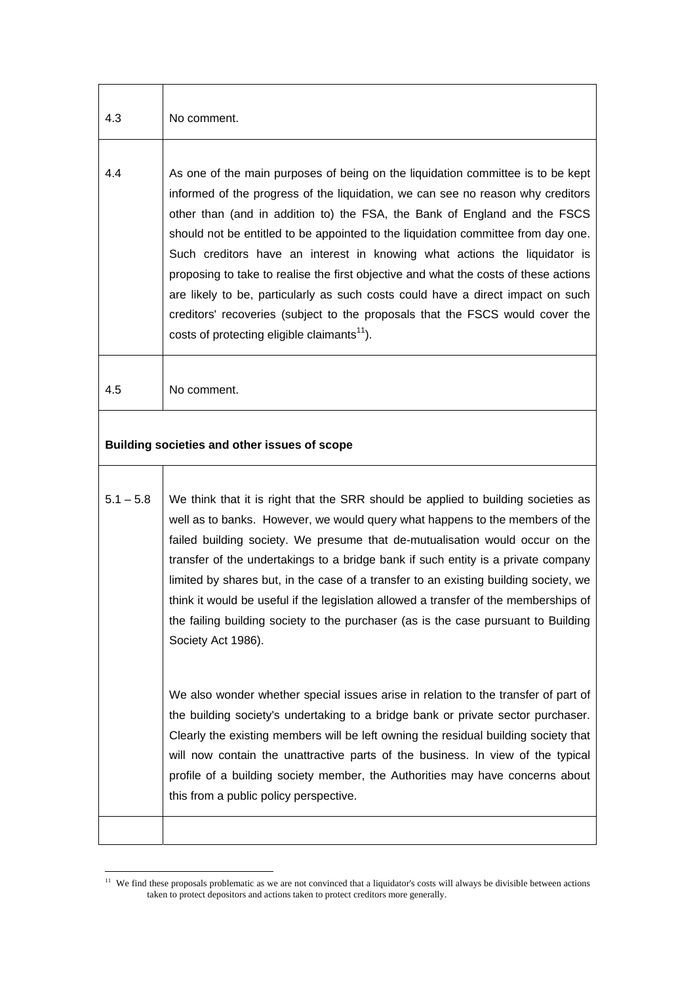| 4.3         | No comment.                                                                                                                                                                                                                                                                                                                                                                                                                                                                                                                                                                                                                                                                                                                              |
|-------------|------------------------------------------------------------------------------------------------------------------------------------------------------------------------------------------------------------------------------------------------------------------------------------------------------------------------------------------------------------------------------------------------------------------------------------------------------------------------------------------------------------------------------------------------------------------------------------------------------------------------------------------------------------------------------------------------------------------------------------------|
| 4.4         | As one of the main purposes of being on the liquidation committee is to be kept<br>informed of the progress of the liquidation, we can see no reason why creditors<br>other than (and in addition to) the FSA, the Bank of England and the FSCS<br>should not be entitled to be appointed to the liquidation committee from day one.<br>Such creditors have an interest in knowing what actions the liquidator is<br>proposing to take to realise the first objective and what the costs of these actions<br>are likely to be, particularly as such costs could have a direct impact on such<br>creditors' recoveries (subject to the proposals that the FSCS would cover the<br>costs of protecting eligible claimants <sup>11</sup> ). |
| 4.5         | No comment.                                                                                                                                                                                                                                                                                                                                                                                                                                                                                                                                                                                                                                                                                                                              |
|             | Building societies and other issues of scope                                                                                                                                                                                                                                                                                                                                                                                                                                                                                                                                                                                                                                                                                             |
| $5.1 - 5.8$ | We think that it is right that the SRR should be applied to building societies as<br>well as to banks. However, we would query what happens to the members of the<br>failed building society. We presume that de-mutualisation would occur on the<br>transfer of the undertakings to a bridge bank if such entity is a private company<br>limited by shares but, in the case of a transfer to an existing building society, we<br>think it would be useful if the legislation allowed a transfer of the memberships of<br>the failing building society to the purchaser (as is the case pursuant to Building<br>Society Act 1986).                                                                                                       |
|             | We also wonder whether special issues arise in relation to the transfer of part of<br>the building society's undertaking to a bridge bank or private sector purchaser.<br>Clearly the existing members will be left owning the residual building society that<br>will now contain the unattractive parts of the business. In view of the typical<br>profile of a building society member, the Authorities may have concerns about<br>this from a public policy perspective.                                                                                                                                                                                                                                                              |
|             |                                                                                                                                                                                                                                                                                                                                                                                                                                                                                                                                                                                                                                                                                                                                          |

<span id="page-47-0"></span> $11$  We find these proposals problematic as we are not convinced that a liquidator's costs will always be divisible between actions taken to protect depositors and actions taken to protect creditors more generally.

 $\overline{a}$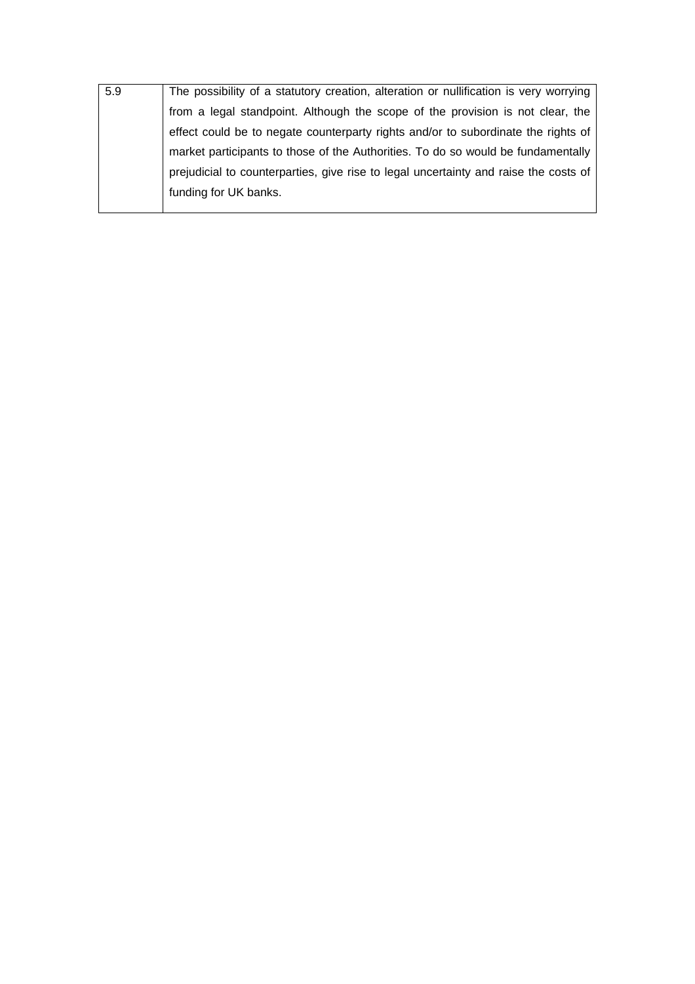| 5.9 | The possibility of a statutory creation, alteration or nullification is very worrying |
|-----|---------------------------------------------------------------------------------------|
|     | from a legal standpoint. Although the scope of the provision is not clear, the        |
|     | effect could be to negate counterparty rights and/or to subordinate the rights of     |
|     | market participants to those of the Authorities. To do so would be fundamentally      |
|     | prejudicial to counterparties, give rise to legal uncertainty and raise the costs of  |
|     | funding for UK banks.                                                                 |
|     |                                                                                       |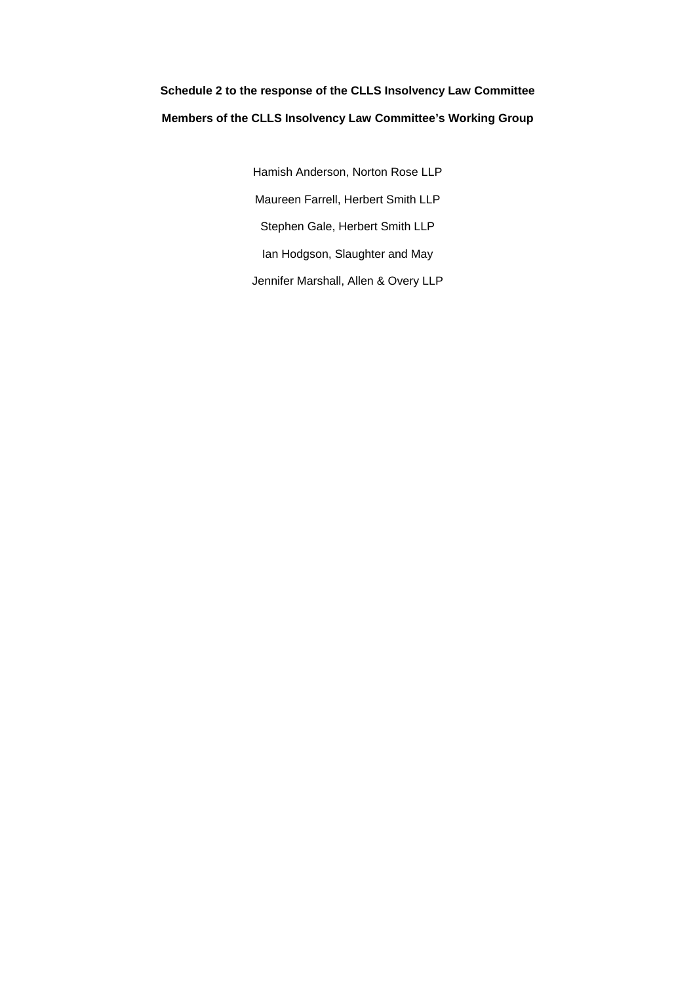# **Schedule 2 to the response of the CLLS Insolvency Law Committee Members of the CLLS Insolvency Law Committee's Working Group**

Hamish Anderson, Norton Rose LLP Maureen Farrell, Herbert Smith LLP Stephen Gale, Herbert Smith LLP Ian Hodgson, Slaughter and May Jennifer Marshall, Allen & Overy LLP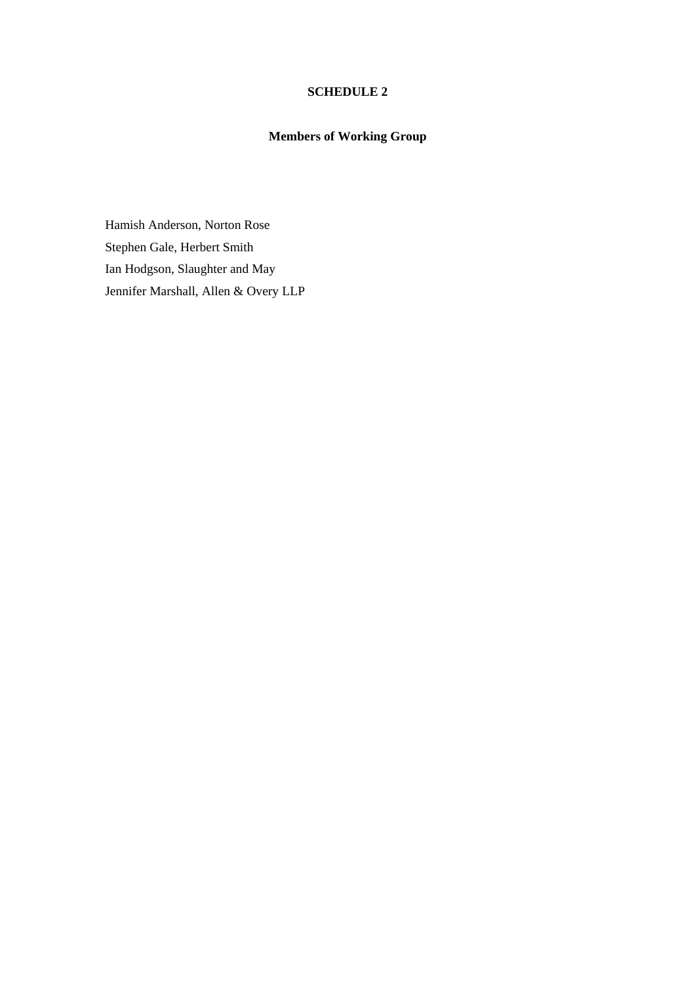## **SCHEDULE 2**

# **Members of Working Group**

Hamish Anderson, Norton Rose Stephen Gale, Herbert Smith Ian Hodgson, Slaughter and May Jennifer Marshall, Allen & Overy LLP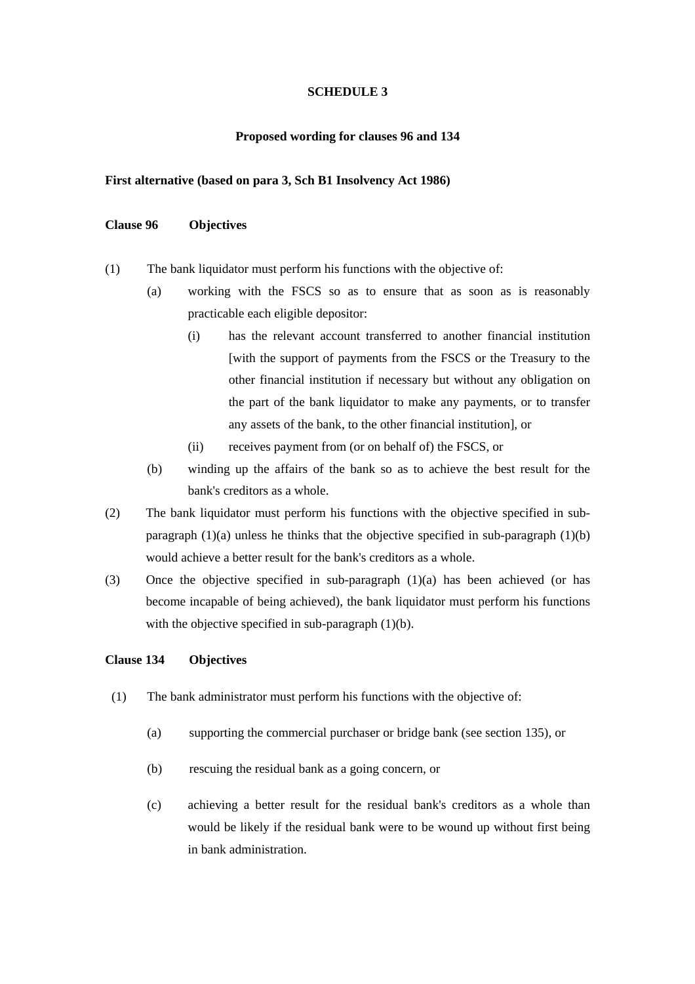## **SCHEDULE 3**

### **Proposed wording for clauses 96 and 134**

### **First alternative (based on para 3, Sch B1 Insolvency Act 1986)**

# **Clause 96 Objectives**

- (1) The bank liquidator must perform his functions with the objective of:
	- (a) working with the FSCS so as to ensure that as soon as is reasonably practicable each eligible depositor:
		- (i) has the relevant account transferred to another financial institution [with the support of payments from the FSCS or the Treasury to the other financial institution if necessary but without any obligation on the part of the bank liquidator to make any payments, or to transfer any assets of the bank, to the other financial institution], or
		- (ii) receives payment from (or on behalf of) the FSCS, or
	- (b) winding up the affairs of the bank so as to achieve the best result for the bank's creditors as a whole.
- (2) The bank liquidator must perform his functions with the objective specified in subparagraph  $(1)(a)$  unless he thinks that the objective specified in sub-paragraph  $(1)(b)$ would achieve a better result for the bank's creditors as a whole.
- (3) Once the objective specified in sub-paragraph (1)(a) has been achieved (or has become incapable of being achieved), the bank liquidator must perform his functions with the objective specified in sub-paragraph (1)(b).

### **Clause 134 Objectives**

- (1) The bank administrator must perform his functions with the objective of:
	- (a) supporting the commercial purchaser or bridge bank (see section 135), or
	- (b) rescuing the residual bank as a going concern, or
	- (c) achieving a better result for the residual bank's creditors as a whole than would be likely if the residual bank were to be wound up without first being in bank administration.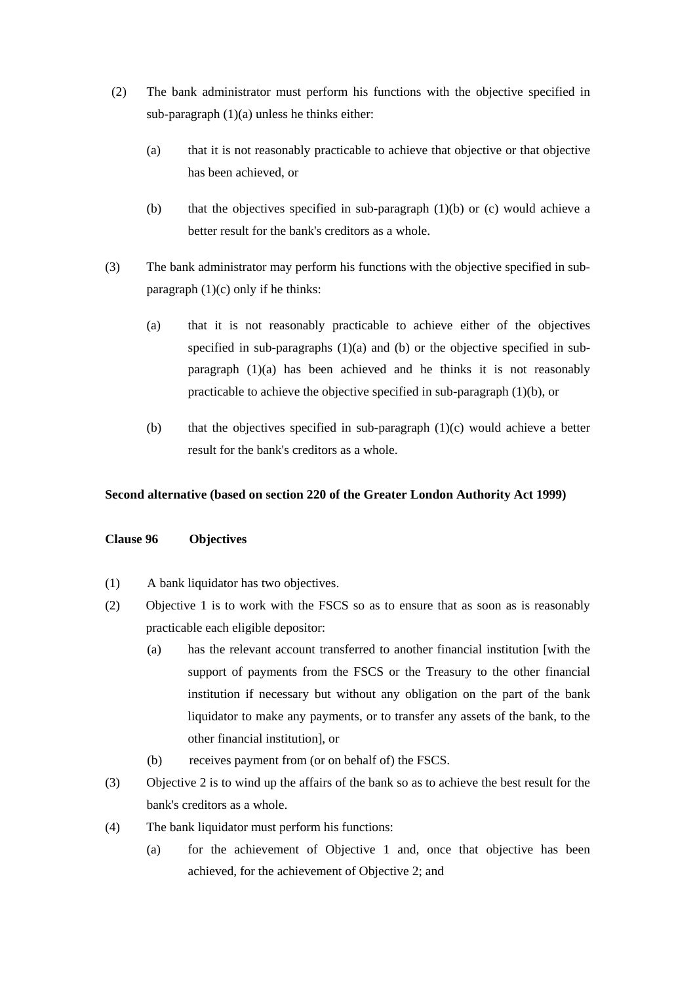- (2) The bank administrator must perform his functions with the objective specified in sub-paragraph (1)(a) unless he thinks either:
	- (a) that it is not reasonably practicable to achieve that objective or that objective has been achieved, or
	- (b) that the objectives specified in sub-paragraph  $(1)(b)$  or (c) would achieve a better result for the bank's creditors as a whole.
- (3) The bank administrator may perform his functions with the objective specified in subparagraph  $(1)(c)$  only if he thinks:
	- (a) that it is not reasonably practicable to achieve either of the objectives specified in sub-paragraphs  $(1)(a)$  and  $(b)$  or the objective specified in subparagraph (1)(a) has been achieved and he thinks it is not reasonably practicable to achieve the objective specified in sub-paragraph (1)(b), or
	- (b) that the objectives specified in sub-paragraph  $(1)(c)$  would achieve a better result for the bank's creditors as a whole.

# **Second alternative (based on section 220 of the Greater London Authority Act 1999)**

## **Clause 96 Objectives**

- (1) A bank liquidator has two objectives.
- (2) Objective 1 is to work with the FSCS so as to ensure that as soon as is reasonably practicable each eligible depositor:
	- (a) has the relevant account transferred to another financial institution [with the support of payments from the FSCS or the Treasury to the other financial institution if necessary but without any obligation on the part of the bank liquidator to make any payments, or to transfer any assets of the bank, to the other financial institution], or
	- (b) receives payment from (or on behalf of) the FSCS.
- (3) Objective 2 is to wind up the affairs of the bank so as to achieve the best result for the bank's creditors as a whole.
- (4) The bank liquidator must perform his functions:
	- (a) for the achievement of Objective 1 and, once that objective has been achieved, for the achievement of Objective 2; and